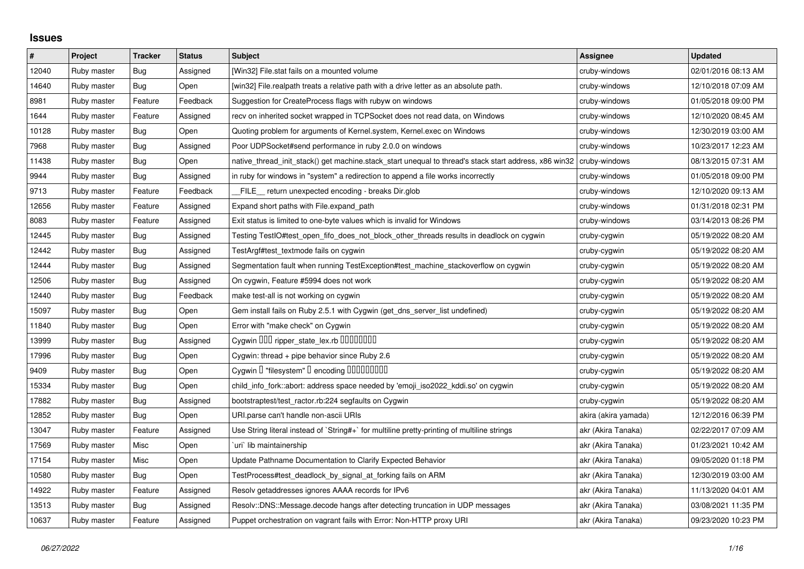## **Issues**

| $\pmb{\#}$ | Project     | <b>Tracker</b> | <b>Status</b> | <b>Subject</b>                                                                                        | Assignee             | <b>Updated</b>      |
|------------|-------------|----------------|---------------|-------------------------------------------------------------------------------------------------------|----------------------|---------------------|
| 12040      | Ruby master | Bug            | Assigned      | [Win32] File.stat fails on a mounted volume                                                           | cruby-windows        | 02/01/2016 08:13 AM |
| 14640      | Ruby master | Bug            | Open          | [win32] File.realpath treats a relative path with a drive letter as an absolute path.                 | cruby-windows        | 12/10/2018 07:09 AM |
| 8981       | Ruby master | Feature        | Feedback      | Suggestion for CreateProcess flags with rubyw on windows                                              | cruby-windows        | 01/05/2018 09:00 PM |
| 1644       | Ruby master | Feature        | Assigned      | recv on inherited socket wrapped in TCPSocket does not read data, on Windows                          | cruby-windows        | 12/10/2020 08:45 AM |
| 10128      | Ruby master | Bug            | Open          | Quoting problem for arguments of Kernel.system, Kernel.exec on Windows                                | cruby-windows        | 12/30/2019 03:00 AM |
| 7968       | Ruby master | Bug            | Assigned      | Poor UDPSocket#send performance in ruby 2.0.0 on windows                                              | cruby-windows        | 10/23/2017 12:23 AM |
| 11438      | Ruby master | Bug            | Open          | native thread init stack() get machine.stack start unequal to thread's stack start address, x86 win32 | cruby-windows        | 08/13/2015 07:31 AM |
| 9944       | Ruby master | Bug            | Assigned      | in ruby for windows in "system" a redirection to append a file works incorrectly                      | cruby-windows        | 01/05/2018 09:00 PM |
| 9713       | Ruby master | Feature        | Feedback      | FILE_ return unexpected encoding - breaks Dir.glob                                                    | cruby-windows        | 12/10/2020 09:13 AM |
| 12656      | Ruby master | Feature        | Assigned      | Expand short paths with File.expand path                                                              | cruby-windows        | 01/31/2018 02:31 PM |
| 8083       | Ruby master | Feature        | Assigned      | Exit status is limited to one-byte values which is invalid for Windows                                | cruby-windows        | 03/14/2013 08:26 PM |
| 12445      | Ruby master | <b>Bug</b>     | Assigned      | Testing TestIO#test_open_fifo_does_not_block_other_threads results in deadlock on cygwin              | cruby-cygwin         | 05/19/2022 08:20 AM |
| 12442      | Ruby master | Bug            | Assigned      | TestArgf#test_textmode fails on cygwin                                                                | cruby-cygwin         | 05/19/2022 08:20 AM |
| 12444      | Ruby master | Bug            | Assigned      | Segmentation fault when running TestException#test_machine_stackoverflow on cygwin                    | cruby-cygwin         | 05/19/2022 08:20 AM |
| 12506      | Ruby master | <b>Bug</b>     | Assigned      | On cygwin, Feature #5994 does not work                                                                | cruby-cygwin         | 05/19/2022 08:20 AM |
| 12440      | Ruby master | Bug            | Feedback      | make test-all is not working on cygwin                                                                | cruby-cygwin         | 05/19/2022 08:20 AM |
| 15097      | Ruby master | Bug            | Open          | Gem install fails on Ruby 2.5.1 with Cygwin (get_dns_server_list undefined)                           | cruby-cygwin         | 05/19/2022 08:20 AM |
| 11840      | Ruby master | Bug            | Open          | Error with "make check" on Cygwin                                                                     | cruby-cygwin         | 05/19/2022 08:20 AM |
| 13999      | Ruby master | Bug            | Assigned      | Cygwin DDD ripper_state_lex.rb DDDDDDDD                                                               | cruby-cygwin         | 05/19/2022 08:20 AM |
| 17996      | Ruby master | Bug            | Open          | Cygwin: thread $+$ pipe behavior since Ruby 2.6                                                       | cruby-cygwin         | 05/19/2022 08:20 AM |
| 9409       | Ruby master | Bug            | Open          | Cygwin I "filesystem" I encoding IIIIIIIIIIIIII                                                       | cruby-cygwin         | 05/19/2022 08:20 AM |
| 15334      | Ruby master | Bug            | Open          | child info fork::abort: address space needed by 'emoji iso2022 kddi.so' on cygwin                     | cruby-cygwin         | 05/19/2022 08:20 AM |
| 17882      | Ruby master | Bug            | Assigned      | bootstraptest/test_ractor.rb:224 segfaults on Cygwin                                                  | cruby-cygwin         | 05/19/2022 08:20 AM |
| 12852      | Ruby master | <b>Bug</b>     | Open          | URI.parse can't handle non-ascii URIs                                                                 | akira (akira yamada) | 12/12/2016 06:39 PM |
| 13047      | Ruby master | Feature        | Assigned      | Use String literal instead of `String#+` for multiline pretty-printing of multiline strings           | akr (Akira Tanaka)   | 02/22/2017 07:09 AM |
| 17569      | Ruby master | Misc           | Open          | uri`lib maintainership                                                                                | akr (Akira Tanaka)   | 01/23/2021 10:42 AM |
| 17154      | Ruby master | Misc           | Open          | Update Pathname Documentation to Clarify Expected Behavior                                            | akr (Akira Tanaka)   | 09/05/2020 01:18 PM |
| 10580      | Ruby master | Bug            | Open          | TestProcess#test_deadlock_by_signal_at_forking fails on ARM                                           | akr (Akira Tanaka)   | 12/30/2019 03:00 AM |
| 14922      | Ruby master | Feature        | Assigned      | Resolv getaddresses ignores AAAA records for IPv6                                                     | akr (Akira Tanaka)   | 11/13/2020 04:01 AM |
| 13513      | Ruby master | Bug            | Assigned      | Resolv::DNS::Message.decode hangs after detecting truncation in UDP messages                          | akr (Akira Tanaka)   | 03/08/2021 11:35 PM |
| 10637      | Ruby master | Feature        | Assigned      | Puppet orchestration on vagrant fails with Error: Non-HTTP proxy URI                                  | akr (Akira Tanaka)   | 09/23/2020 10:23 PM |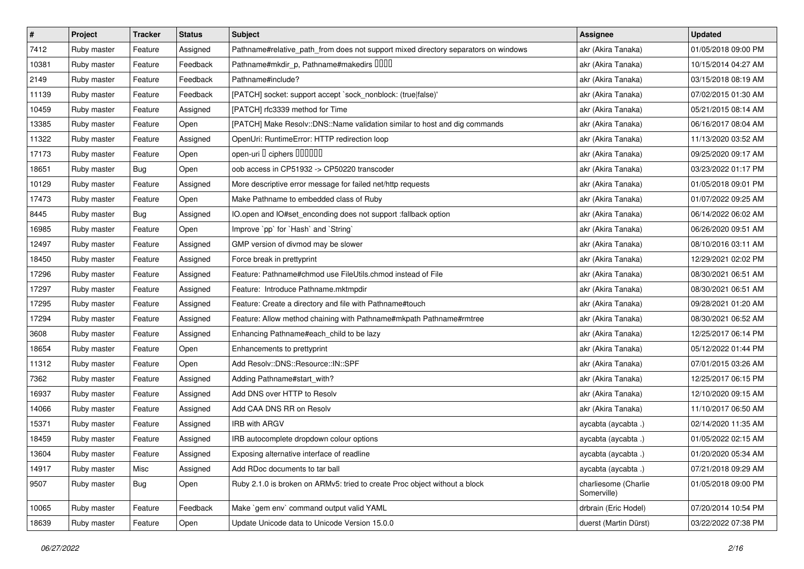| $\vert$ # | Project     | <b>Tracker</b> | <b>Status</b> | <b>Subject</b>                                                                     | Assignee                            | <b>Updated</b>      |
|-----------|-------------|----------------|---------------|------------------------------------------------------------------------------------|-------------------------------------|---------------------|
| 7412      | Ruby master | Feature        | Assigned      | Pathname#relative_path_from does not support mixed directory separators on windows | akr (Akira Tanaka)                  | 01/05/2018 09:00 PM |
| 10381     | Ruby master | Feature        | Feedback      | Pathname#mkdir_p, Pathname#makedirs IIIII                                          | akr (Akira Tanaka)                  | 10/15/2014 04:27 AM |
| 2149      | Ruby master | Feature        | Feedback      | Pathname#include?                                                                  | akr (Akira Tanaka)                  | 03/15/2018 08:19 AM |
| 11139     | Ruby master | Feature        | Feedback      | [PATCH] socket: support accept `sock_nonblock: (true false)'                       | akr (Akira Tanaka)                  | 07/02/2015 01:30 AM |
| 10459     | Ruby master | Feature        | Assigned      | [PATCH] rfc3339 method for Time                                                    | akr (Akira Tanaka)                  | 05/21/2015 08:14 AM |
| 13385     | Ruby master | Feature        | Open          | [PATCH] Make Resolv::DNS::Name validation similar to host and dig commands         | akr (Akira Tanaka)                  | 06/16/2017 08:04 AM |
| 11322     | Ruby master | Feature        | Assigned      | OpenUri: RuntimeError: HTTP redirection loop                                       | akr (Akira Tanaka)                  | 11/13/2020 03:52 AM |
| 17173     | Ruby master | Feature        | Open          | open-uri I ciphers IIIIIII                                                         | akr (Akira Tanaka)                  | 09/25/2020 09:17 AM |
| 18651     | Ruby master | <b>Bug</b>     | Open          | oob access in CP51932 -> CP50220 transcoder                                        | akr (Akira Tanaka)                  | 03/23/2022 01:17 PM |
| 10129     | Ruby master | Feature        | Assigned      | More descriptive error message for failed net/http requests                        | akr (Akira Tanaka)                  | 01/05/2018 09:01 PM |
| 17473     | Ruby master | Feature        | Open          | Make Pathname to embedded class of Ruby                                            | akr (Akira Tanaka)                  | 01/07/2022 09:25 AM |
| 8445      | Ruby master | <b>Bug</b>     | Assigned      | IO.open and IO#set_enconding does not support :fallback option                     | akr (Akira Tanaka)                  | 06/14/2022 06:02 AM |
| 16985     | Ruby master | Feature        | Open          | Improve `pp` for `Hash` and `String`                                               | akr (Akira Tanaka)                  | 06/26/2020 09:51 AM |
| 12497     | Ruby master | Feature        | Assigned      | GMP version of divmod may be slower                                                | akr (Akira Tanaka)                  | 08/10/2016 03:11 AM |
| 18450     | Ruby master | Feature        | Assigned      | Force break in prettyprint                                                         | akr (Akira Tanaka)                  | 12/29/2021 02:02 PM |
| 17296     | Ruby master | Feature        | Assigned      | Feature: Pathname#chmod use FileUtils.chmod instead of File                        | akr (Akira Tanaka)                  | 08/30/2021 06:51 AM |
| 17297     | Ruby master | Feature        | Assigned      | Feature: Introduce Pathname.mktmpdir                                               | akr (Akira Tanaka)                  | 08/30/2021 06:51 AM |
| 17295     | Ruby master | Feature        | Assigned      | Feature: Create a directory and file with Pathname#touch                           | akr (Akira Tanaka)                  | 09/28/2021 01:20 AM |
| 17294     | Ruby master | Feature        | Assigned      | Feature: Allow method chaining with Pathname#mkpath Pathname#rmtree                | akr (Akira Tanaka)                  | 08/30/2021 06:52 AM |
| 3608      | Ruby master | Feature        | Assigned      | Enhancing Pathname#each_child to be lazy                                           | akr (Akira Tanaka)                  | 12/25/2017 06:14 PM |
| 18654     | Ruby master | Feature        | Open          | Enhancements to prettyprint                                                        | akr (Akira Tanaka)                  | 05/12/2022 01:44 PM |
| 11312     | Ruby master | Feature        | Open          | Add Resolv::DNS::Resource::IN::SPF                                                 | akr (Akira Tanaka)                  | 07/01/2015 03:26 AM |
| 7362      | Ruby master | Feature        | Assigned      | Adding Pathname#start_with?                                                        | akr (Akira Tanaka)                  | 12/25/2017 06:15 PM |
| 16937     | Ruby master | Feature        | Assigned      | Add DNS over HTTP to Resolv                                                        | akr (Akira Tanaka)                  | 12/10/2020 09:15 AM |
| 14066     | Ruby master | Feature        | Assigned      | Add CAA DNS RR on Resolv                                                           | akr (Akira Tanaka)                  | 11/10/2017 06:50 AM |
| 15371     | Ruby master | Feature        | Assigned      | IRB with ARGV                                                                      | aycabta (aycabta.)                  | 02/14/2020 11:35 AM |
| 18459     | Ruby master | Feature        | Assigned      | IRB autocomplete dropdown colour options                                           | aycabta (aycabta .)                 | 01/05/2022 02:15 AM |
| 13604     | Ruby master | Feature        | Assigned      | Exposing alternative interface of readline                                         | aycabta (aycabta.)                  | 01/20/2020 05:34 AM |
| 14917     | Ruby master | Misc           | Assigned      | Add RDoc documents to tar ball                                                     | aycabta (aycabta.)                  | 07/21/2018 09:29 AM |
| 9507      | Ruby master | Bug            | Open          | Ruby 2.1.0 is broken on ARMv5: tried to create Proc object without a block         | charliesome (Charlie<br>Somerville) | 01/05/2018 09:00 PM |
| 10065     | Ruby master | Feature        | Feedback      | Make `gem env` command output valid YAML                                           | drbrain (Eric Hodel)                | 07/20/2014 10:54 PM |
| 18639     | Ruby master | Feature        | Open          | Update Unicode data to Unicode Version 15.0.0                                      | duerst (Martin Dürst)               | 03/22/2022 07:38 PM |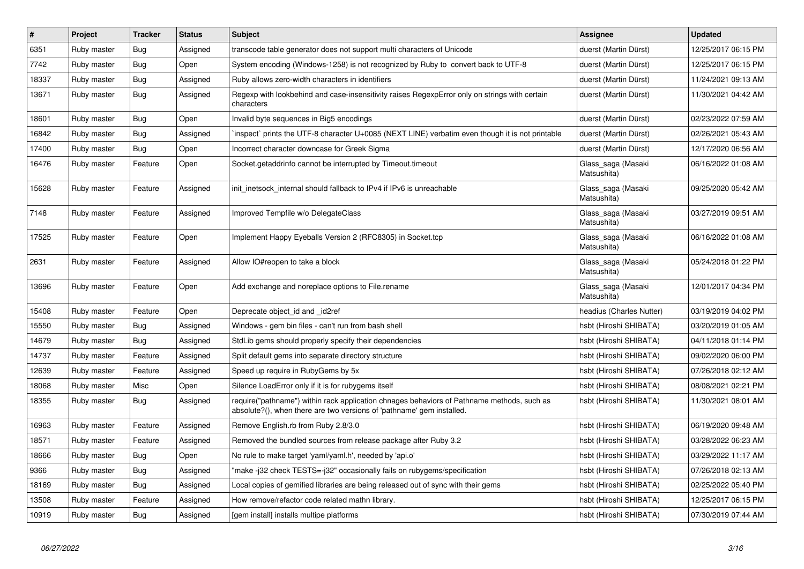| $\vert$ # | Project     | <b>Tracker</b> | <b>Status</b> | <b>Subject</b>                                                                                                                                                      | <b>Assignee</b>                   | <b>Updated</b>      |
|-----------|-------------|----------------|---------------|---------------------------------------------------------------------------------------------------------------------------------------------------------------------|-----------------------------------|---------------------|
| 6351      | Ruby master | <b>Bug</b>     | Assigned      | transcode table generator does not support multi characters of Unicode                                                                                              | duerst (Martin Dürst)             | 12/25/2017 06:15 PM |
| 7742      | Ruby master | Bug            | Open          | System encoding (Windows-1258) is not recognized by Ruby to convert back to UTF-8                                                                                   | duerst (Martin Dürst)             | 12/25/2017 06:15 PM |
| 18337     | Ruby master | <b>Bug</b>     | Assigned      | Ruby allows zero-width characters in identifiers                                                                                                                    | duerst (Martin Dürst)             | 11/24/2021 09:13 AM |
| 13671     | Ruby master | <b>Bug</b>     | Assigned      | Regexp with lookbehind and case-insensitivity raises RegexpError only on strings with certain<br>characters                                                         | duerst (Martin Dürst)             | 11/30/2021 04:42 AM |
| 18601     | Ruby master | Bug            | Open          | Invalid byte sequences in Big5 encodings                                                                                                                            | duerst (Martin Dürst)             | 02/23/2022 07:59 AM |
| 16842     | Ruby master | <b>Bug</b>     | Assigned      | inspect` prints the UTF-8 character U+0085 (NEXT LINE) verbatim even though it is not printable                                                                     | duerst (Martin Dürst)             | 02/26/2021 05:43 AM |
| 17400     | Ruby master | <b>Bug</b>     | Open          | Incorrect character downcase for Greek Sigma                                                                                                                        | duerst (Martin Dürst)             | 12/17/2020 06:56 AM |
| 16476     | Ruby master | Feature        | Open          | Socket getaddrinfo cannot be interrupted by Timeout timeout                                                                                                         | Glass saga (Masaki<br>Matsushita) | 06/16/2022 01:08 AM |
| 15628     | Ruby master | Feature        | Assigned      | init_inetsock_internal should fallback to IPv4 if IPv6 is unreachable                                                                                               | Glass_saga (Masaki<br>Matsushita) | 09/25/2020 05:42 AM |
| 7148      | Ruby master | Feature        | Assigned      | Improved Tempfile w/o DelegateClass                                                                                                                                 | Glass saga (Masaki<br>Matsushita) | 03/27/2019 09:51 AM |
| 17525     | Ruby master | Feature        | Open          | Implement Happy Eyeballs Version 2 (RFC8305) in Socket.tcp                                                                                                          | Glass_saga (Masaki<br>Matsushita) | 06/16/2022 01:08 AM |
| 2631      | Ruby master | Feature        | Assigned      | Allow IO#reopen to take a block                                                                                                                                     | Glass_saga (Masaki<br>Matsushita) | 05/24/2018 01:22 PM |
| 13696     | Ruby master | Feature        | Open          | Add exchange and noreplace options to File.rename                                                                                                                   | Glass saga (Masaki<br>Matsushita) | 12/01/2017 04:34 PM |
| 15408     | Ruby master | Feature        | Open          | Deprecate object_id and _id2ref                                                                                                                                     | headius (Charles Nutter)          | 03/19/2019 04:02 PM |
| 15550     | Ruby master | <b>Bug</b>     | Assigned      | Windows - gem bin files - can't run from bash shell                                                                                                                 | hsbt (Hiroshi SHIBATA)            | 03/20/2019 01:05 AM |
| 14679     | Ruby master | Bug            | Assigned      | StdLib gems should properly specify their dependencies                                                                                                              | hsbt (Hiroshi SHIBATA)            | 04/11/2018 01:14 PM |
| 14737     | Ruby master | Feature        | Assigned      | Split default gems into separate directory structure                                                                                                                | hsbt (Hiroshi SHIBATA)            | 09/02/2020 06:00 PM |
| 12639     | Ruby master | Feature        | Assigned      | Speed up require in RubyGems by 5x                                                                                                                                  | hsbt (Hiroshi SHIBATA)            | 07/26/2018 02:12 AM |
| 18068     | Ruby master | Misc           | Open          | Silence LoadError only if it is for rubygems itself                                                                                                                 | hsbt (Hiroshi SHIBATA)            | 08/08/2021 02:21 PM |
| 18355     | Ruby master | <b>Bug</b>     | Assigned      | require("pathname") within rack application chnages behaviors of Pathname methods, such as<br>absolute?(), when there are two versions of 'pathname' gem installed. | hsbt (Hiroshi SHIBATA)            | 11/30/2021 08:01 AM |
| 16963     | Ruby master | Feature        | Assigned      | Remove English.rb from Ruby 2.8/3.0                                                                                                                                 | hsbt (Hiroshi SHIBATA)            | 06/19/2020 09:48 AM |
| 18571     | Ruby master | Feature        | Assigned      | Removed the bundled sources from release package after Ruby 3.2                                                                                                     | hsbt (Hiroshi SHIBATA)            | 03/28/2022 06:23 AM |
| 18666     | Ruby master | Bug            | Open          | No rule to make target 'yaml/yaml.h', needed by 'api.o'                                                                                                             | hsbt (Hiroshi SHIBATA)            | 03/29/2022 11:17 AM |
| 9366      | Ruby master | Bug            | Assigned      | 'make -j32 check TESTS=-j32" occasionally fails on rubygems/specification                                                                                           | hsbt (Hiroshi SHIBATA)            | 07/26/2018 02:13 AM |
| 18169     | Ruby master | Bug            | Assigned      | Local copies of gemified libraries are being released out of sync with their gems                                                                                   | hsbt (Hiroshi SHIBATA)            | 02/25/2022 05:40 PM |
| 13508     | Ruby master | Feature        | Assigned      | How remove/refactor code related mathn library.                                                                                                                     | hsbt (Hiroshi SHIBATA)            | 12/25/2017 06:15 PM |
| 10919     | Ruby master | Bug            | Assigned      | [gem install] installs multipe platforms                                                                                                                            | hsbt (Hiroshi SHIBATA)            | 07/30/2019 07:44 AM |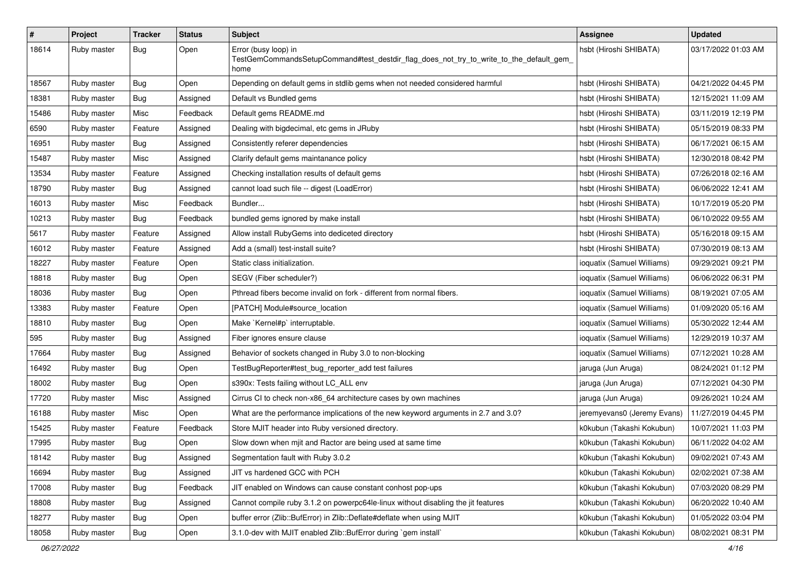| $\#$  | Project     | <b>Tracker</b> | <b>Status</b> | <b>Subject</b>                                                                                                          | <b>Assignee</b>             | <b>Updated</b>      |
|-------|-------------|----------------|---------------|-------------------------------------------------------------------------------------------------------------------------|-----------------------------|---------------------|
| 18614 | Ruby master | <b>Bug</b>     | Open          | Error (busy loop) in<br>TestGemCommandsSetupCommand#test_destdir_flag_does_not_try_to_write_to_the_default_gem_<br>home | hsbt (Hiroshi SHIBATA)      | 03/17/2022 01:03 AM |
| 18567 | Ruby master | <b>Bug</b>     | Open          | Depending on default gems in stdlib gems when not needed considered harmful                                             | hsbt (Hiroshi SHIBATA)      | 04/21/2022 04:45 PM |
| 18381 | Ruby master | Bug            | Assigned      | Default vs Bundled gems                                                                                                 | hsbt (Hiroshi SHIBATA)      | 12/15/2021 11:09 AM |
| 15486 | Ruby master | Misc           | Feedback      | Default gems README.md                                                                                                  | hsbt (Hiroshi SHIBATA)      | 03/11/2019 12:19 PM |
| 6590  | Ruby master | Feature        | Assigned      | Dealing with bigdecimal, etc gems in JRuby                                                                              | hsbt (Hiroshi SHIBATA)      | 05/15/2019 08:33 PM |
| 16951 | Ruby master | Bug            | Assigned      | Consistently referer dependencies                                                                                       | hsbt (Hiroshi SHIBATA)      | 06/17/2021 06:15 AM |
| 15487 | Ruby master | Misc           | Assigned      | Clarify default gems maintanance policy                                                                                 | hsbt (Hiroshi SHIBATA)      | 12/30/2018 08:42 PM |
| 13534 | Ruby master | Feature        | Assigned      | Checking installation results of default gems                                                                           | hsbt (Hiroshi SHIBATA)      | 07/26/2018 02:16 AM |
| 18790 | Ruby master | <b>Bug</b>     | Assigned      | cannot load such file -- digest (LoadError)                                                                             | hsbt (Hiroshi SHIBATA)      | 06/06/2022 12:41 AM |
| 16013 | Ruby master | Misc           | Feedback      | Bundler                                                                                                                 | hsbt (Hiroshi SHIBATA)      | 10/17/2019 05:20 PM |
| 10213 | Ruby master | Bug            | Feedback      | bundled gems ignored by make install                                                                                    | hsbt (Hiroshi SHIBATA)      | 06/10/2022 09:55 AM |
| 5617  | Ruby master | Feature        | Assigned      | Allow install RubyGems into dediceted directory                                                                         | hsbt (Hiroshi SHIBATA)      | 05/16/2018 09:15 AM |
| 16012 | Ruby master | Feature        | Assigned      | Add a (small) test-install suite?                                                                                       | hsbt (Hiroshi SHIBATA)      | 07/30/2019 08:13 AM |
| 18227 | Ruby master | Feature        | Open          | Static class initialization.                                                                                            | ioquatix (Samuel Williams)  | 09/29/2021 09:21 PM |
| 18818 | Ruby master | <b>Bug</b>     | Open          | SEGV (Fiber scheduler?)                                                                                                 | ioquatix (Samuel Williams)  | 06/06/2022 06:31 PM |
| 18036 | Ruby master | <b>Bug</b>     | Open          | Pthread fibers become invalid on fork - different from normal fibers.                                                   | ioquatix (Samuel Williams)  | 08/19/2021 07:05 AM |
| 13383 | Ruby master | Feature        | Open          | [PATCH] Module#source_location                                                                                          | ioquatix (Samuel Williams)  | 01/09/2020 05:16 AM |
| 18810 | Ruby master | <b>Bug</b>     | Open          | Make `Kernel#p` interruptable.                                                                                          | ioquatix (Samuel Williams)  | 05/30/2022 12:44 AM |
| 595   | Ruby master | <b>Bug</b>     | Assigned      | Fiber ignores ensure clause                                                                                             | ioquatix (Samuel Williams)  | 12/29/2019 10:37 AM |
| 17664 | Ruby master | <b>Bug</b>     | Assigned      | Behavior of sockets changed in Ruby 3.0 to non-blocking                                                                 | ioquatix (Samuel Williams)  | 07/12/2021 10:28 AM |
| 16492 | Ruby master | Bug            | Open          | TestBugReporter#test_bug_reporter_add test failures                                                                     | jaruga (Jun Aruga)          | 08/24/2021 01:12 PM |
| 18002 | Ruby master | <b>Bug</b>     | Open          | s390x: Tests failing without LC_ALL env                                                                                 | jaruga (Jun Aruga)          | 07/12/2021 04:30 PM |
| 17720 | Ruby master | Misc           | Assigned      | Cirrus CI to check non-x86_64 architecture cases by own machines                                                        | jaruga (Jun Aruga)          | 09/26/2021 10:24 AM |
| 16188 | Ruby master | Misc           | Open          | What are the performance implications of the new keyword arguments in 2.7 and 3.0?                                      | jeremyevans0 (Jeremy Evans) | 11/27/2019 04:45 PM |
| 15425 | Ruby master | Feature        | Feedback      | Store MJIT header into Ruby versioned directory.                                                                        | k0kubun (Takashi Kokubun)   | 10/07/2021 11:03 PM |
| 17995 | Ruby master | <b>Bug</b>     | Open          | Slow down when mjit and Ractor are being used at same time                                                              | k0kubun (Takashi Kokubun)   | 06/11/2022 04:02 AM |
| 18142 | Ruby master | Bug            | Assigned      | Segmentation fault with Ruby 3.0.2                                                                                      | k0kubun (Takashi Kokubun)   | 09/02/2021 07:43 AM |
| 16694 | Ruby master | <b>Bug</b>     | Assigned      | JIT vs hardened GCC with PCH                                                                                            | k0kubun (Takashi Kokubun)   | 02/02/2021 07:38 AM |
| 17008 | Ruby master | Bug            | Feedback      | JIT enabled on Windows can cause constant conhost pop-ups                                                               | k0kubun (Takashi Kokubun)   | 07/03/2020 08:29 PM |
| 18808 | Ruby master | <b>Bug</b>     | Assigned      | Cannot compile ruby 3.1.2 on powerpc64le-linux without disabling the jit features                                       | k0kubun (Takashi Kokubun)   | 06/20/2022 10:40 AM |
| 18277 | Ruby master | <b>Bug</b>     | Open          | buffer error (Zlib::BufError) in Zlib::Deflate#deflate when using MJIT                                                  | k0kubun (Takashi Kokubun)   | 01/05/2022 03:04 PM |
| 18058 | Ruby master | <b>Bug</b>     | Open          | 3.1.0-dev with MJIT enabled Zlib::BufError during `gem install`                                                         | k0kubun (Takashi Kokubun)   | 08/02/2021 08:31 PM |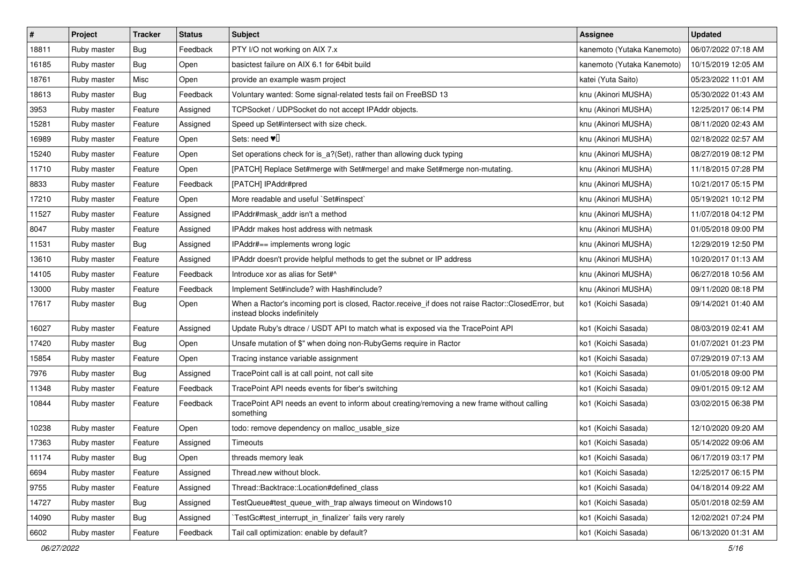| #     | Project     | <b>Tracker</b> | <b>Status</b> | <b>Subject</b>                                                                                                                    | <b>Assignee</b>            | <b>Updated</b>      |
|-------|-------------|----------------|---------------|-----------------------------------------------------------------------------------------------------------------------------------|----------------------------|---------------------|
| 18811 | Ruby master | Bug            | Feedback      | PTY I/O not working on AIX 7.x                                                                                                    | kanemoto (Yutaka Kanemoto) | 06/07/2022 07:18 AM |
| 16185 | Ruby master | Bug            | Open          | basictest failure on AIX 6.1 for 64bit build                                                                                      | kanemoto (Yutaka Kanemoto) | 10/15/2019 12:05 AM |
| 18761 | Ruby master | Misc           | Open          | provide an example wasm project                                                                                                   | katei (Yuta Saito)         | 05/23/2022 11:01 AM |
| 18613 | Ruby master | Bug            | Feedback      | Voluntary wanted: Some signal-related tests fail on FreeBSD 13                                                                    | knu (Akinori MUSHA)        | 05/30/2022 01:43 AM |
| 3953  | Ruby master | Feature        | Assigned      | TCPSocket / UDPSocket do not accept IPAddr objects.                                                                               | knu (Akinori MUSHA)        | 12/25/2017 06:14 PM |
| 15281 | Ruby master | Feature        | Assigned      | Speed up Set#intersect with size check.                                                                                           | knu (Akinori MUSHA)        | 08/11/2020 02:43 AM |
| 16989 | Ruby master | Feature        | Open          | Sets: need $\Psi$                                                                                                                 | knu (Akinori MUSHA)        | 02/18/2022 02:57 AM |
| 15240 | Ruby master | Feature        | Open          | Set operations check for is_a?(Set), rather than allowing duck typing                                                             | knu (Akinori MUSHA)        | 08/27/2019 08:12 PM |
| 11710 | Ruby master | Feature        | Open          | [PATCH] Replace Set#merge with Set#merge! and make Set#merge non-mutating.                                                        | knu (Akinori MUSHA)        | 11/18/2015 07:28 PM |
| 8833  | Ruby master | Feature        | Feedback      | [PATCH] IPAddr#pred                                                                                                               | knu (Akinori MUSHA)        | 10/21/2017 05:15 PM |
| 17210 | Ruby master | Feature        | Open          | More readable and useful `Set#inspect`                                                                                            | knu (Akinori MUSHA)        | 05/19/2021 10:12 PM |
| 11527 | Ruby master | Feature        | Assigned      | IPAddr#mask_addr isn't a method                                                                                                   | knu (Akinori MUSHA)        | 11/07/2018 04:12 PM |
| 8047  | Ruby master | Feature        | Assigned      | IPAddr makes host address with netmask                                                                                            | knu (Akinori MUSHA)        | 01/05/2018 09:00 PM |
| 11531 | Ruby master | <b>Bug</b>     | Assigned      | IPAddr#== implements wrong logic                                                                                                  | knu (Akinori MUSHA)        | 12/29/2019 12:50 PM |
| 13610 | Ruby master | Feature        | Assigned      | IPAddr doesn't provide helpful methods to get the subnet or IP address                                                            | knu (Akinori MUSHA)        | 10/20/2017 01:13 AM |
| 14105 | Ruby master | Feature        | Feedback      | Introduce xor as alias for Set#^                                                                                                  | knu (Akinori MUSHA)        | 06/27/2018 10:56 AM |
| 13000 | Ruby master | Feature        | Feedback      | Implement Set#include? with Hash#include?                                                                                         | knu (Akinori MUSHA)        | 09/11/2020 08:18 PM |
| 17617 | Ruby master | Bug            | Open          | When a Ractor's incoming port is closed, Ractor.receive_if does not raise Ractor::ClosedError, but<br>instead blocks indefinitely | ko1 (Koichi Sasada)        | 09/14/2021 01:40 AM |
| 16027 | Ruby master | Feature        | Assigned      | Update Ruby's dtrace / USDT API to match what is exposed via the TracePoint API                                                   | ko1 (Koichi Sasada)        | 08/03/2019 02:41 AM |
| 17420 | Ruby master | Bug            | Open          | Unsafe mutation of \$" when doing non-RubyGems require in Ractor                                                                  | ko1 (Koichi Sasada)        | 01/07/2021 01:23 PM |
| 15854 | Ruby master | Feature        | Open          | Tracing instance variable assignment                                                                                              | ko1 (Koichi Sasada)        | 07/29/2019 07:13 AM |
| 7976  | Ruby master | <b>Bug</b>     | Assigned      | TracePoint call is at call point, not call site                                                                                   | ko1 (Koichi Sasada)        | 01/05/2018 09:00 PM |
| 11348 | Ruby master | Feature        | Feedback      | TracePoint API needs events for fiber's switching                                                                                 | ko1 (Koichi Sasada)        | 09/01/2015 09:12 AM |
| 10844 | Ruby master | Feature        | Feedback      | TracePoint API needs an event to inform about creating/removing a new frame without calling<br>something                          | ko1 (Koichi Sasada)        | 03/02/2015 06:38 PM |
| 10238 | Ruby master | Feature        | Open          | todo: remove dependency on malloc_usable_size                                                                                     | ko1 (Koichi Sasada)        | 12/10/2020 09:20 AM |
| 17363 | Ruby master | Feature        | Assigned      | Timeouts                                                                                                                          | ko1 (Koichi Sasada)        | 05/14/2022 09:06 AM |
| 11174 | Ruby master | <b>Bug</b>     | Open          | threads memory leak                                                                                                               | ko1 (Koichi Sasada)        | 06/17/2019 03:17 PM |
| 6694  | Ruby master | Feature        | Assigned      | Thread.new without block.                                                                                                         | ko1 (Koichi Sasada)        | 12/25/2017 06:15 PM |
| 9755  | Ruby master | Feature        | Assigned      | Thread::Backtrace::Location#defined_class                                                                                         | ko1 (Koichi Sasada)        | 04/18/2014 09:22 AM |
| 14727 | Ruby master | <b>Bug</b>     | Assigned      | TestQueue#test queue with trap always timeout on Windows10                                                                        | ko1 (Koichi Sasada)        | 05/01/2018 02:59 AM |
| 14090 | Ruby master | <b>Bug</b>     | Assigned      | TestGc#test_interrupt_in_finalizer` fails very rarely                                                                             | ko1 (Koichi Sasada)        | 12/02/2021 07:24 PM |
| 6602  | Ruby master | Feature        | Feedback      | Tail call optimization: enable by default?                                                                                        | ko1 (Koichi Sasada)        | 06/13/2020 01:31 AM |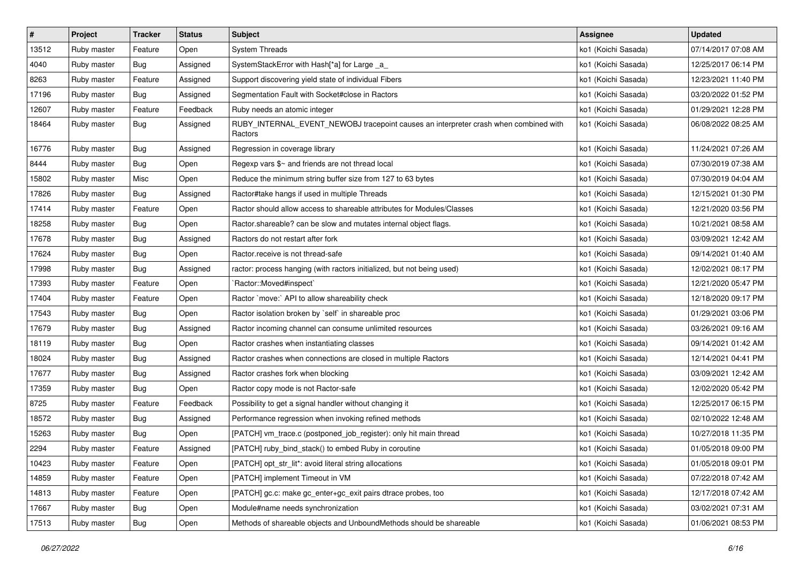| $\vert$ # | Project     | <b>Tracker</b> | <b>Status</b> | <b>Subject</b>                                                                                  | <b>Assignee</b>     | <b>Updated</b>      |
|-----------|-------------|----------------|---------------|-------------------------------------------------------------------------------------------------|---------------------|---------------------|
| 13512     | Ruby master | Feature        | Open          | <b>System Threads</b>                                                                           | ko1 (Koichi Sasada) | 07/14/2017 07:08 AM |
| 4040      | Ruby master | Bug            | Assigned      | SystemStackError with Hash[*a] for Large _a_                                                    | ko1 (Koichi Sasada) | 12/25/2017 06:14 PM |
| 8263      | Ruby master | Feature        | Assigned      | Support discovering yield state of individual Fibers                                            | ko1 (Koichi Sasada) | 12/23/2021 11:40 PM |
| 17196     | Ruby master | <b>Bug</b>     | Assigned      | Segmentation Fault with Socket#close in Ractors                                                 | ko1 (Koichi Sasada) | 03/20/2022 01:52 PM |
| 12607     | Ruby master | Feature        | Feedback      | Ruby needs an atomic integer                                                                    | ko1 (Koichi Sasada) | 01/29/2021 12:28 PM |
| 18464     | Ruby master | Bug            | Assigned      | RUBY_INTERNAL_EVENT_NEWOBJ tracepoint causes an interpreter crash when combined with<br>Ractors | ko1 (Koichi Sasada) | 06/08/2022 08:25 AM |
| 16776     | Ruby master | Bug            | Assigned      | Regression in coverage library                                                                  | ko1 (Koichi Sasada) | 11/24/2021 07:26 AM |
| 8444      | Ruby master | Bug            | Open          | Regexp vars \$~ and friends are not thread local                                                | ko1 (Koichi Sasada) | 07/30/2019 07:38 AM |
| 15802     | Ruby master | Misc           | Open          | Reduce the minimum string buffer size from 127 to 63 bytes                                      | ko1 (Koichi Sasada) | 07/30/2019 04:04 AM |
| 17826     | Ruby master | Bug            | Assigned      | Ractor#take hangs if used in multiple Threads                                                   | ko1 (Koichi Sasada) | 12/15/2021 01:30 PM |
| 17414     | Ruby master | Feature        | Open          | Ractor should allow access to shareable attributes for Modules/Classes                          | ko1 (Koichi Sasada) | 12/21/2020 03:56 PM |
| 18258     | Ruby master | <b>Bug</b>     | Open          | Ractor shareable? can be slow and mutates internal object flags.                                | ko1 (Koichi Sasada) | 10/21/2021 08:58 AM |
| 17678     | Ruby master | <b>Bug</b>     | Assigned      | Ractors do not restart after fork                                                               | ko1 (Koichi Sasada) | 03/09/2021 12:42 AM |
| 17624     | Ruby master | Bug            | Open          | Ractor.receive is not thread-safe                                                               | ko1 (Koichi Sasada) | 09/14/2021 01:40 AM |
| 17998     | Ruby master | Bug            | Assigned      | ractor: process hanging (with ractors initialized, but not being used)                          | ko1 (Koichi Sasada) | 12/02/2021 08:17 PM |
| 17393     | Ruby master | Feature        | Open          | `Ractor::Moved#inspect`                                                                         | ko1 (Koichi Sasada) | 12/21/2020 05:47 PM |
| 17404     | Ruby master | Feature        | Open          | Ractor `move:` API to allow shareability check                                                  | ko1 (Koichi Sasada) | 12/18/2020 09:17 PM |
| 17543     | Ruby master | Bug            | Open          | Ractor isolation broken by 'self' in shareable proc                                             | ko1 (Koichi Sasada) | 01/29/2021 03:06 PM |
| 17679     | Ruby master | Bug            | Assigned      | Ractor incoming channel can consume unlimited resources                                         | ko1 (Koichi Sasada) | 03/26/2021 09:16 AM |
| 18119     | Ruby master | <b>Bug</b>     | Open          | Ractor crashes when instantiating classes                                                       | ko1 (Koichi Sasada) | 09/14/2021 01:42 AM |
| 18024     | Ruby master | <b>Bug</b>     | Assigned      | Ractor crashes when connections are closed in multiple Ractors                                  | ko1 (Koichi Sasada) | 12/14/2021 04:41 PM |
| 17677     | Ruby master | <b>Bug</b>     | Assigned      | Ractor crashes fork when blocking                                                               | ko1 (Koichi Sasada) | 03/09/2021 12:42 AM |
| 17359     | Ruby master | <b>Bug</b>     | Open          | Ractor copy mode is not Ractor-safe                                                             | ko1 (Koichi Sasada) | 12/02/2020 05:42 PM |
| 8725      | Ruby master | Feature        | Feedback      | Possibility to get a signal handler without changing it                                         | ko1 (Koichi Sasada) | 12/25/2017 06:15 PM |
| 18572     | Ruby master | <b>Bug</b>     | Assigned      | Performance regression when invoking refined methods                                            | ko1 (Koichi Sasada) | 02/10/2022 12:48 AM |
| 15263     | Ruby master | Bug            | Open          | [PATCH] vm_trace.c (postponed_job_register): only hit main thread                               | ko1 (Koichi Sasada) | 10/27/2018 11:35 PM |
| 2294      | Ruby master | Feature        | Assigned      | [PATCH] ruby_bind_stack() to embed Ruby in coroutine                                            | ko1 (Koichi Sasada) | 01/05/2018 09:00 PM |
| 10423     | Ruby master | Feature        | Open          | [PATCH] opt_str_lit*: avoid literal string allocations                                          | ko1 (Koichi Sasada) | 01/05/2018 09:01 PM |
| 14859     | Ruby master | Feature        | Open          | [PATCH] implement Timeout in VM                                                                 | ko1 (Koichi Sasada) | 07/22/2018 07:42 AM |
| 14813     | Ruby master | Feature        | Open          | [PATCH] gc.c: make gc_enter+gc_exit pairs dtrace probes, too                                    | ko1 (Koichi Sasada) | 12/17/2018 07:42 AM |
| 17667     | Ruby master | Bug            | Open          | Module#name needs synchronization                                                               | ko1 (Koichi Sasada) | 03/02/2021 07:31 AM |
| 17513     | Ruby master | <b>Bug</b>     | Open          | Methods of shareable objects and UnboundMethods should be shareable                             | ko1 (Koichi Sasada) | 01/06/2021 08:53 PM |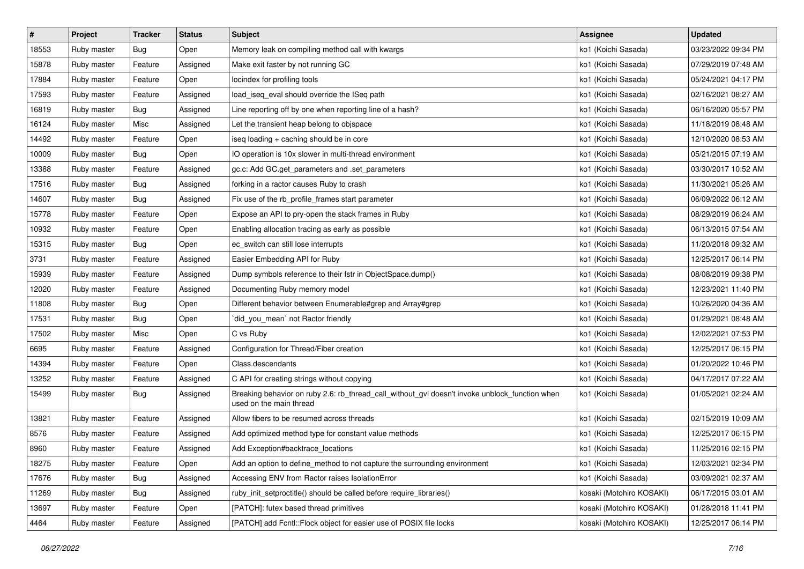| $\pmb{\#}$ | Project     | <b>Tracker</b> | <b>Status</b> | <b>Subject</b>                                                                                                            | <b>Assignee</b>          | <b>Updated</b>      |
|------------|-------------|----------------|---------------|---------------------------------------------------------------------------------------------------------------------------|--------------------------|---------------------|
| 18553      | Ruby master | <b>Bug</b>     | Open          | Memory leak on compiling method call with kwargs                                                                          | ko1 (Koichi Sasada)      | 03/23/2022 09:34 PM |
| 15878      | Ruby master | Feature        | Assigned      | Make exit faster by not running GC                                                                                        | ko1 (Koichi Sasada)      | 07/29/2019 07:48 AM |
| 17884      | Ruby master | Feature        | Open          | locindex for profiling tools                                                                                              | ko1 (Koichi Sasada)      | 05/24/2021 04:17 PM |
| 17593      | Ruby master | Feature        | Assigned      | load_iseq_eval should override the ISeq path                                                                              | ko1 (Koichi Sasada)      | 02/16/2021 08:27 AM |
| 16819      | Ruby master | Bug            | Assigned      | Line reporting off by one when reporting line of a hash?                                                                  | ko1 (Koichi Sasada)      | 06/16/2020 05:57 PM |
| 16124      | Ruby master | Misc           | Assigned      | Let the transient heap belong to objspace                                                                                 | ko1 (Koichi Sasada)      | 11/18/2019 08:48 AM |
| 14492      | Ruby master | Feature        | Open          | iseq loading + caching should be in core                                                                                  | ko1 (Koichi Sasada)      | 12/10/2020 08:53 AM |
| 10009      | Ruby master | Bug            | Open          | IO operation is 10x slower in multi-thread environment                                                                    | ko1 (Koichi Sasada)      | 05/21/2015 07:19 AM |
| 13388      | Ruby master | Feature        | Assigned      | gc.c: Add GC.get_parameters and .set_parameters                                                                           | ko1 (Koichi Sasada)      | 03/30/2017 10:52 AM |
| 17516      | Ruby master | Bug            | Assigned      | forking in a ractor causes Ruby to crash                                                                                  | ko1 (Koichi Sasada)      | 11/30/2021 05:26 AM |
| 14607      | Ruby master | <b>Bug</b>     | Assigned      | Fix use of the rb_profile_frames start parameter                                                                          | ko1 (Koichi Sasada)      | 06/09/2022 06:12 AM |
| 15778      | Ruby master | Feature        | Open          | Expose an API to pry-open the stack frames in Ruby                                                                        | ko1 (Koichi Sasada)      | 08/29/2019 06:24 AM |
| 10932      | Ruby master | Feature        | Open          | Enabling allocation tracing as early as possible                                                                          | ko1 (Koichi Sasada)      | 06/13/2015 07:54 AM |
| 15315      | Ruby master | <b>Bug</b>     | Open          | ec_switch can still lose interrupts                                                                                       | ko1 (Koichi Sasada)      | 11/20/2018 09:32 AM |
| 3731       | Ruby master | Feature        | Assigned      | Easier Embedding API for Ruby                                                                                             | ko1 (Koichi Sasada)      | 12/25/2017 06:14 PM |
| 15939      | Ruby master | Feature        | Assigned      | Dump symbols reference to their fstr in ObjectSpace.dump()                                                                | ko1 (Koichi Sasada)      | 08/08/2019 09:38 PM |
| 12020      | Ruby master | Feature        | Assigned      | Documenting Ruby memory model                                                                                             | ko1 (Koichi Sasada)      | 12/23/2021 11:40 PM |
| 11808      | Ruby master | Bug            | Open          | Different behavior between Enumerable#grep and Array#grep                                                                 | ko1 (Koichi Sasada)      | 10/26/2020 04:36 AM |
| 17531      | Ruby master | <b>Bug</b>     | Open          | did_you_mean` not Ractor friendly                                                                                         | ko1 (Koichi Sasada)      | 01/29/2021 08:48 AM |
| 17502      | Ruby master | Misc           | Open          | C vs Ruby                                                                                                                 | ko1 (Koichi Sasada)      | 12/02/2021 07:53 PM |
| 6695       | Ruby master | Feature        | Assigned      | Configuration for Thread/Fiber creation                                                                                   | ko1 (Koichi Sasada)      | 12/25/2017 06:15 PM |
| 14394      | Ruby master | Feature        | Open          | Class.descendants                                                                                                         | ko1 (Koichi Sasada)      | 01/20/2022 10:46 PM |
| 13252      | Ruby master | Feature        | Assigned      | C API for creating strings without copying                                                                                | ko1 (Koichi Sasada)      | 04/17/2017 07:22 AM |
| 15499      | Ruby master | <b>Bug</b>     | Assigned      | Breaking behavior on ruby 2.6: rb_thread_call_without_gvl doesn't invoke unblock_function when<br>used on the main thread | ko1 (Koichi Sasada)      | 01/05/2021 02:24 AM |
| 13821      | Ruby master | Feature        | Assigned      | Allow fibers to be resumed across threads                                                                                 | ko1 (Koichi Sasada)      | 02/15/2019 10:09 AM |
| 8576       | Ruby master | Feature        | Assigned      | Add optimized method type for constant value methods                                                                      | ko1 (Koichi Sasada)      | 12/25/2017 06:15 PM |
| 8960       | Ruby master | Feature        | Assigned      | Add Exception#backtrace_locations                                                                                         | ko1 (Koichi Sasada)      | 11/25/2016 02:15 PM |
| 18275      | Ruby master | Feature        | Open          | Add an option to define method to not capture the surrounding environment                                                 | ko1 (Koichi Sasada)      | 12/03/2021 02:34 PM |
| 17676      | Ruby master | <b>Bug</b>     | Assigned      | Accessing ENV from Ractor raises IsolationError                                                                           | ko1 (Koichi Sasada)      | 03/09/2021 02:37 AM |
| 11269      | Ruby master | Bug            | Assigned      | ruby_init_setproctitle() should be called before require_libraries()                                                      | kosaki (Motohiro KOSAKI) | 06/17/2015 03:01 AM |
| 13697      | Ruby master | Feature        | Open          | [PATCH]: futex based thread primitives                                                                                    | kosaki (Motohiro KOSAKI) | 01/28/2018 11:41 PM |
| 4464       | Ruby master | Feature        | Assigned      | [PATCH] add Fcntl::Flock object for easier use of POSIX file locks                                                        | kosaki (Motohiro KOSAKI) | 12/25/2017 06:14 PM |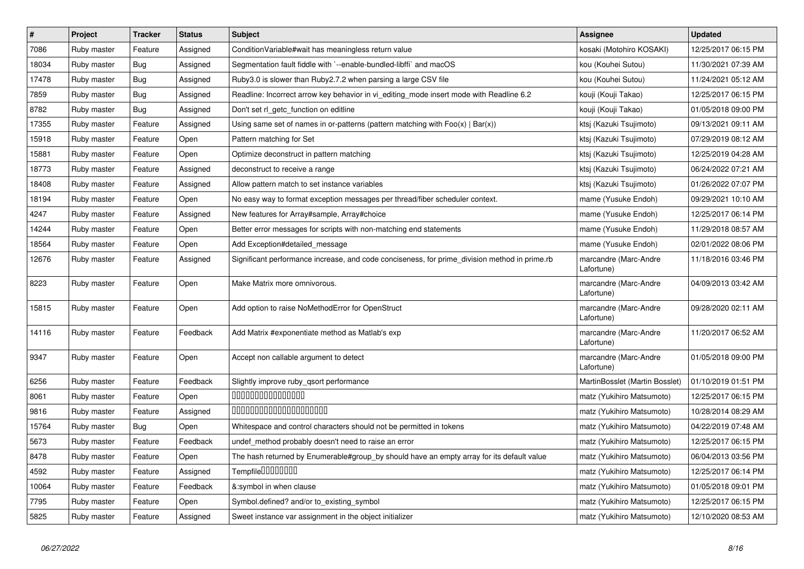| $\vert$ # | Project     | <b>Tracker</b> | <b>Status</b> | <b>Subject</b>                                                                                | <b>Assignee</b>                     | <b>Updated</b>      |
|-----------|-------------|----------------|---------------|-----------------------------------------------------------------------------------------------|-------------------------------------|---------------------|
| 7086      | Ruby master | Feature        | Assigned      | Condition Variable#wait has meaningless return value                                          | kosaki (Motohiro KOSAKI)            | 12/25/2017 06:15 PM |
| 18034     | Ruby master | Bug            | Assigned      | Segmentation fault fiddle with `--enable-bundled-libffi` and macOS                            | kou (Kouhei Sutou)                  | 11/30/2021 07:39 AM |
| 17478     | Ruby master | Bug            | Assigned      | Ruby3.0 is slower than Ruby2.7.2 when parsing a large CSV file                                | kou (Kouhei Sutou)                  | 11/24/2021 05:12 AM |
| 7859      | Ruby master | <b>Bug</b>     | Assigned      | Readline: Incorrect arrow key behavior in vi_editing_mode insert mode with Readline 6.2       | kouji (Kouji Takao)                 | 12/25/2017 06:15 PM |
| 8782      | Ruby master | <b>Bug</b>     | Assigned      | Don't set rl_getc_function on editline                                                        | kouji (Kouji Takao)                 | 01/05/2018 09:00 PM |
| 17355     | Ruby master | Feature        | Assigned      | Using same set of names in or-patterns (pattern matching with $Foo(x)   Bar(x)$ )             | ktsj (Kazuki Tsujimoto)             | 09/13/2021 09:11 AM |
| 15918     | Ruby master | Feature        | Open          | Pattern matching for Set                                                                      | ktsj (Kazuki Tsujimoto)             | 07/29/2019 08:12 AM |
| 15881     | Ruby master | Feature        | Open          | Optimize deconstruct in pattern matching                                                      | ktsj (Kazuki Tsujimoto)             | 12/25/2019 04:28 AM |
| 18773     | Ruby master | Feature        | Assigned      | deconstruct to receive a range                                                                | ktsj (Kazuki Tsujimoto)             | 06/24/2022 07:21 AM |
| 18408     | Ruby master | Feature        | Assigned      | Allow pattern match to set instance variables                                                 | ktsj (Kazuki Tsujimoto)             | 01/26/2022 07:07 PM |
| 18194     | Ruby master | Feature        | Open          | No easy way to format exception messages per thread/fiber scheduler context.                  | mame (Yusuke Endoh)                 | 09/29/2021 10:10 AM |
| 4247      | Ruby master | Feature        | Assigned      | New features for Array#sample, Array#choice                                                   | mame (Yusuke Endoh)                 | 12/25/2017 06:14 PM |
| 14244     | Ruby master | Feature        | Open          | Better error messages for scripts with non-matching end statements                            | mame (Yusuke Endoh)                 | 11/29/2018 08:57 AM |
| 18564     | Ruby master | Feature        | Open          | Add Exception#detailed message                                                                | mame (Yusuke Endoh)                 | 02/01/2022 08:06 PM |
| 12676     | Ruby master | Feature        | Assigned      | Significant performance increase, and code conciseness, for prime division method in prime.rb | marcandre (Marc-Andre<br>Lafortune) | 11/18/2016 03:46 PM |
| 8223      | Ruby master | Feature        | Open          | Make Matrix more omnivorous.                                                                  | marcandre (Marc-Andre<br>Lafortune) | 04/09/2013 03:42 AM |
| 15815     | Ruby master | Feature        | Open          | Add option to raise NoMethodError for OpenStruct                                              | marcandre (Marc-Andre<br>Lafortune) | 09/28/2020 02:11 AM |
| 14116     | Ruby master | Feature        | Feedback      | Add Matrix #exponentiate method as Matlab's exp                                               | marcandre (Marc-Andre<br>Lafortune) | 11/20/2017 06:52 AM |
| 9347      | Ruby master | Feature        | Open          | Accept non callable argument to detect                                                        | marcandre (Marc-Andre<br>Lafortune) | 01/05/2018 09:00 PM |
| 6256      | Ruby master | Feature        | Feedback      | Slightly improve ruby_qsort performance                                                       | MartinBosslet (Martin Bosslet)      | 01/10/2019 01:51 PM |
| 8061      | Ruby master | Feature        | Open          | 000000000000000                                                                               | matz (Yukihiro Matsumoto)           | 12/25/2017 06:15 PM |
| 9816      | Ruby master | Feature        | Assigned      | 00000000000000000000                                                                          | matz (Yukihiro Matsumoto)           | 10/28/2014 08:29 AM |
| 15764     | Ruby master | <b>Bug</b>     | Open          | Whitespace and control characters should not be permitted in tokens                           | matz (Yukihiro Matsumoto)           | 04/22/2019 07:48 AM |
| 5673      | Ruby master | Feature        | Feedback      | undef_method probably doesn't need to raise an error                                          | matz (Yukihiro Matsumoto)           | 12/25/2017 06:15 PM |
| 8478      | Ruby master | Feature        | Open          | The hash returned by Enumerable#group_by should have an empty array for its default value     | matz (Yukihiro Matsumoto)           | 06/04/2013 03:56 PM |
| 4592      | Ruby master | Feature        | Assigned      | Tempfile0000000                                                                               | matz (Yukihiro Matsumoto)           | 12/25/2017 06:14 PM |
| 10064     | Ruby master | Feature        | Feedback      | &:symbol in when clause                                                                       | matz (Yukihiro Matsumoto)           | 01/05/2018 09:01 PM |
| 7795      | Ruby master | Feature        | Open          | Symbol.defined? and/or to_existing_symbol                                                     | matz (Yukihiro Matsumoto)           | 12/25/2017 06:15 PM |
| 5825      | Ruby master | Feature        | Assigned      | Sweet instance var assignment in the object initializer                                       | matz (Yukihiro Matsumoto)           | 12/10/2020 08:53 AM |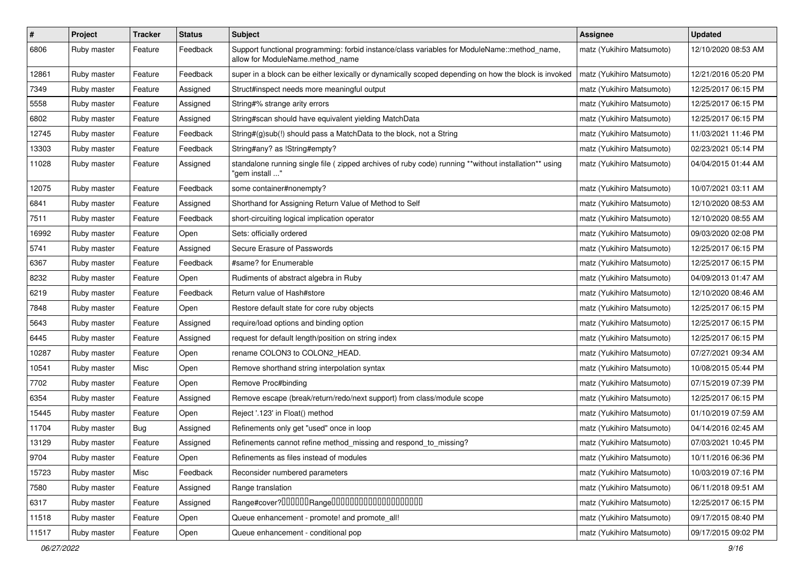| $\#$  | Project     | Tracker    | <b>Status</b> | <b>Subject</b>                                                                                                                   | <b>Assignee</b>           | <b>Updated</b>      |
|-------|-------------|------------|---------------|----------------------------------------------------------------------------------------------------------------------------------|---------------------------|---------------------|
| 6806  | Ruby master | Feature    | Feedback      | Support functional programming: forbid instance/class variables for ModuleName::method_name,<br>allow for ModuleName.method_name | matz (Yukihiro Matsumoto) | 12/10/2020 08:53 AM |
| 12861 | Ruby master | Feature    | Feedback      | super in a block can be either lexically or dynamically scoped depending on how the block is invoked                             | matz (Yukihiro Matsumoto) | 12/21/2016 05:20 PM |
| 7349  | Ruby master | Feature    | Assigned      | Struct#inspect needs more meaningful output                                                                                      | matz (Yukihiro Matsumoto) | 12/25/2017 06:15 PM |
| 5558  | Ruby master | Feature    | Assigned      | String#% strange arity errors                                                                                                    | matz (Yukihiro Matsumoto) | 12/25/2017 06:15 PM |
| 6802  | Ruby master | Feature    | Assigned      | String#scan should have equivalent yielding MatchData                                                                            | matz (Yukihiro Matsumoto) | 12/25/2017 06:15 PM |
| 12745 | Ruby master | Feature    | Feedback      | String#(g)sub(!) should pass a MatchData to the block, not a String                                                              | matz (Yukihiro Matsumoto) | 11/03/2021 11:46 PM |
| 13303 | Ruby master | Feature    | Feedback      | String#any? as !String#empty?                                                                                                    | matz (Yukihiro Matsumoto) | 02/23/2021 05:14 PM |
| 11028 | Ruby master | Feature    | Assigned      | standalone running single file ( zipped archives of ruby code) running **without installation** using<br>" gem install'          | matz (Yukihiro Matsumoto) | 04/04/2015 01:44 AM |
| 12075 | Ruby master | Feature    | Feedback      | some container#nonempty?                                                                                                         | matz (Yukihiro Matsumoto) | 10/07/2021 03:11 AM |
| 6841  | Ruby master | Feature    | Assigned      | Shorthand for Assigning Return Value of Method to Self                                                                           | matz (Yukihiro Matsumoto) | 12/10/2020 08:53 AM |
| 7511  | Ruby master | Feature    | Feedback      | short-circuiting logical implication operator                                                                                    | matz (Yukihiro Matsumoto) | 12/10/2020 08:55 AM |
| 16992 | Ruby master | Feature    | Open          | Sets: officially ordered                                                                                                         | matz (Yukihiro Matsumoto) | 09/03/2020 02:08 PM |
| 5741  | Ruby master | Feature    | Assigned      | Secure Erasure of Passwords                                                                                                      | matz (Yukihiro Matsumoto) | 12/25/2017 06:15 PM |
| 6367  | Ruby master | Feature    | Feedback      | #same? for Enumerable                                                                                                            | matz (Yukihiro Matsumoto) | 12/25/2017 06:15 PM |
| 8232  | Ruby master | Feature    | Open          | Rudiments of abstract algebra in Ruby                                                                                            | matz (Yukihiro Matsumoto) | 04/09/2013 01:47 AM |
| 6219  | Ruby master | Feature    | Feedback      | Return value of Hash#store                                                                                                       | matz (Yukihiro Matsumoto) | 12/10/2020 08:46 AM |
| 7848  | Ruby master | Feature    | Open          | Restore default state for core ruby objects                                                                                      | matz (Yukihiro Matsumoto) | 12/25/2017 06:15 PM |
| 5643  | Ruby master | Feature    | Assigned      | require/load options and binding option                                                                                          | matz (Yukihiro Matsumoto) | 12/25/2017 06:15 PM |
| 6445  | Ruby master | Feature    | Assigned      | request for default length/position on string index                                                                              | matz (Yukihiro Matsumoto) | 12/25/2017 06:15 PM |
| 10287 | Ruby master | Feature    | Open          | rename COLON3 to COLON2_HEAD.                                                                                                    | matz (Yukihiro Matsumoto) | 07/27/2021 09:34 AM |
| 10541 | Ruby master | Misc       | Open          | Remove shorthand string interpolation syntax                                                                                     | matz (Yukihiro Matsumoto) | 10/08/2015 05:44 PM |
| 7702  | Ruby master | Feature    | Open          | Remove Proc#binding                                                                                                              | matz (Yukihiro Matsumoto) | 07/15/2019 07:39 PM |
| 6354  | Ruby master | Feature    | Assigned      | Remove escape (break/return/redo/next support) from class/module scope                                                           | matz (Yukihiro Matsumoto) | 12/25/2017 06:15 PM |
| 15445 | Ruby master | Feature    | Open          | Reject '.123' in Float() method                                                                                                  | matz (Yukihiro Matsumoto) | 01/10/2019 07:59 AM |
| 11704 | Ruby master | <b>Bug</b> | Assigned      | Refinements only get "used" once in loop                                                                                         | matz (Yukihiro Matsumoto) | 04/14/2016 02:45 AM |
| 13129 | Ruby master | Feature    | Assigned      | Refinements cannot refine method_missing and respond_to_missing?                                                                 | matz (Yukihiro Matsumoto) | 07/03/2021 10:45 PM |
| 9704  | Ruby master | Feature    | Open          | Refinements as files instead of modules                                                                                          | matz (Yukihiro Matsumoto) | 10/11/2016 06:36 PM |
| 15723 | Ruby master | Misc       | Feedback      | Reconsider numbered parameters                                                                                                   | matz (Yukihiro Matsumoto) | 10/03/2019 07:16 PM |
| 7580  | Ruby master | Feature    | Assigned      | Range translation                                                                                                                | matz (Yukihiro Matsumoto) | 06/11/2018 09:51 AM |
| 6317  | Ruby master | Feature    | Assigned      |                                                                                                                                  | matz (Yukihiro Matsumoto) | 12/25/2017 06:15 PM |
| 11518 | Ruby master | Feature    | Open          | Queue enhancement - promote! and promote_all!                                                                                    | matz (Yukihiro Matsumoto) | 09/17/2015 08:40 PM |
| 11517 | Ruby master | Feature    | Open          | Queue enhancement - conditional pop                                                                                              | matz (Yukihiro Matsumoto) | 09/17/2015 09:02 PM |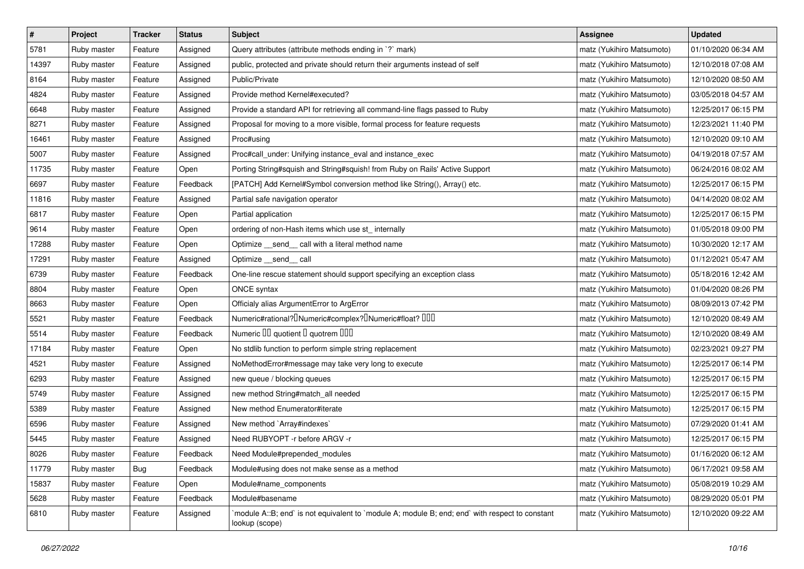| $\sharp$ | Project     | <b>Tracker</b> | <b>Status</b> | <b>Subject</b>                                                                                                   | <b>Assignee</b>           | <b>Updated</b>      |
|----------|-------------|----------------|---------------|------------------------------------------------------------------------------------------------------------------|---------------------------|---------------------|
| 5781     | Ruby master | Feature        | Assigned      | Query attributes (attribute methods ending in `?` mark)                                                          | matz (Yukihiro Matsumoto) | 01/10/2020 06:34 AM |
| 14397    | Ruby master | Feature        | Assigned      | public, protected and private should return their arguments instead of self                                      | matz (Yukihiro Matsumoto) | 12/10/2018 07:08 AM |
| 8164     | Ruby master | Feature        | Assigned      | Public/Private                                                                                                   | matz (Yukihiro Matsumoto) | 12/10/2020 08:50 AM |
| 4824     | Ruby master | Feature        | Assigned      | Provide method Kernel#executed?                                                                                  | matz (Yukihiro Matsumoto) | 03/05/2018 04:57 AM |
| 6648     | Ruby master | Feature        | Assigned      | Provide a standard API for retrieving all command-line flags passed to Ruby                                      | matz (Yukihiro Matsumoto) | 12/25/2017 06:15 PM |
| 8271     | Ruby master | Feature        | Assigned      | Proposal for moving to a more visible, formal process for feature requests                                       | matz (Yukihiro Matsumoto) | 12/23/2021 11:40 PM |
| 16461    | Ruby master | Feature        | Assigned      | Proc#using                                                                                                       | matz (Yukihiro Matsumoto) | 12/10/2020 09:10 AM |
| 5007     | Ruby master | Feature        | Assigned      | Proc#call_under: Unifying instance_eval and instance_exec                                                        | matz (Yukihiro Matsumoto) | 04/19/2018 07:57 AM |
| 11735    | Ruby master | Feature        | Open          | Porting String#squish and String#squish! from Ruby on Rails' Active Support                                      | matz (Yukihiro Matsumoto) | 06/24/2016 08:02 AM |
| 6697     | Ruby master | Feature        | Feedback      | [PATCH] Add Kernel#Symbol conversion method like String(), Array() etc.                                          | matz (Yukihiro Matsumoto) | 12/25/2017 06:15 PM |
| 11816    | Ruby master | Feature        | Assigned      | Partial safe navigation operator                                                                                 | matz (Yukihiro Matsumoto) | 04/14/2020 08:02 AM |
| 6817     | Ruby master | Feature        | Open          | Partial application                                                                                              | matz (Yukihiro Matsumoto) | 12/25/2017 06:15 PM |
| 9614     | Ruby master | Feature        | Open          | ordering of non-Hash items which use st_ internally                                                              | matz (Yukihiro Matsumoto) | 01/05/2018 09:00 PM |
| 17288    | Ruby master | Feature        | Open          | Optimize __ send__ call with a literal method name                                                               | matz (Yukihiro Matsumoto) | 10/30/2020 12:17 AM |
| 17291    | Ruby master | Feature        | Assigned      | Optimize send call                                                                                               | matz (Yukihiro Matsumoto) | 01/12/2021 05:47 AM |
| 6739     | Ruby master | Feature        | Feedback      | One-line rescue statement should support specifying an exception class                                           | matz (Yukihiro Matsumoto) | 05/18/2016 12:42 AM |
| 8804     | Ruby master | Feature        | Open          | ONCE syntax                                                                                                      | matz (Yukihiro Matsumoto) | 01/04/2020 08:26 PM |
| 8663     | Ruby master | Feature        | Open          | Officialy alias ArgumentError to ArgError                                                                        | matz (Yukihiro Matsumoto) | 08/09/2013 07:42 PM |
| 5521     | Ruby master | Feature        | Feedback      | Numeric#rational? <sup>[]</sup> Numeric#complex? <sup>[]</sup> Numeric#float? <sup>[10]</sup>                    | matz (Yukihiro Matsumoto) | 12/10/2020 08:49 AM |
| 5514     | Ruby master | Feature        | Feedback      | Numeric III quotient I quotrem IIII                                                                              | matz (Yukihiro Matsumoto) | 12/10/2020 08:49 AM |
| 17184    | Ruby master | Feature        | Open          | No stdlib function to perform simple string replacement                                                          | matz (Yukihiro Matsumoto) | 02/23/2021 09:27 PM |
| 4521     | Ruby master | Feature        | Assigned      | NoMethodError#message may take very long to execute                                                              | matz (Yukihiro Matsumoto) | 12/25/2017 06:14 PM |
| 6293     | Ruby master | Feature        | Assigned      | new queue / blocking queues                                                                                      | matz (Yukihiro Matsumoto) | 12/25/2017 06:15 PM |
| 5749     | Ruby master | Feature        | Assigned      | new method String#match_all needed                                                                               | matz (Yukihiro Matsumoto) | 12/25/2017 06:15 PM |
| 5389     | Ruby master | Feature        | Assigned      | New method Enumerator#iterate                                                                                    | matz (Yukihiro Matsumoto) | 12/25/2017 06:15 PM |
| 6596     | Ruby master | Feature        | Assigned      | New method `Array#indexes`                                                                                       | matz (Yukihiro Matsumoto) | 07/29/2020 01:41 AM |
| 5445     | Ruby master | Feature        | Assigned      | Need RUBYOPT -r before ARGV -r                                                                                   | matz (Yukihiro Matsumoto) | 12/25/2017 06:15 PM |
| 8026     | Ruby master | Feature        | Feedback      | Need Module#prepended_modules                                                                                    | matz (Yukihiro Matsumoto) | 01/16/2020 06:12 AM |
| 11779    | Ruby master | Bug            | Feedback      | Module#using does not make sense as a method                                                                     | matz (Yukihiro Matsumoto) | 06/17/2021 09:58 AM |
| 15837    | Ruby master | Feature        | Open          | Module#name_components                                                                                           | matz (Yukihiro Matsumoto) | 05/08/2019 10:29 AM |
| 5628     | Ruby master | Feature        | Feedback      | Module#basename                                                                                                  | matz (Yukihiro Matsumoto) | 08/29/2020 05:01 PM |
| 6810     | Ruby master | Feature        | Assigned      | module A::B; end` is not equivalent to `module A; module B; end; end` with respect to constant<br>lookup (scope) | matz (Yukihiro Matsumoto) | 12/10/2020 09:22 AM |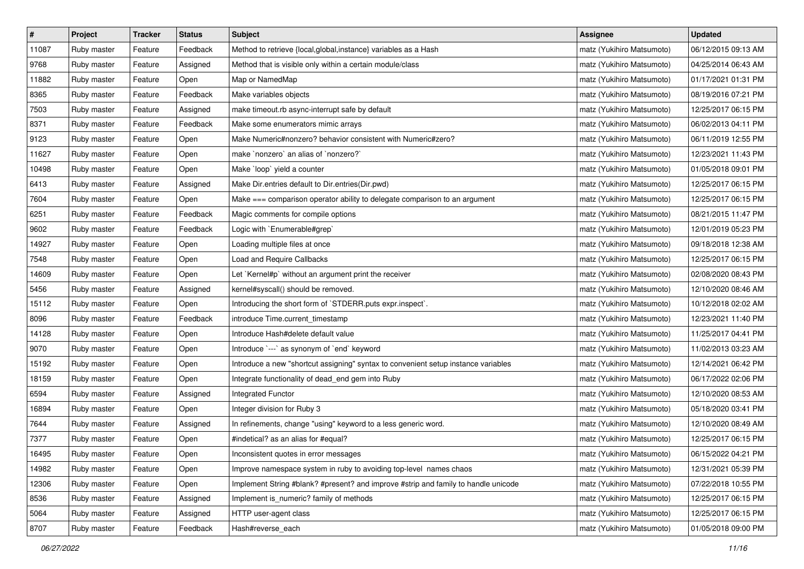| $\vert$ # | Project     | <b>Tracker</b> | <b>Status</b> | Subject                                                                            | <b>Assignee</b>           | <b>Updated</b>      |
|-----------|-------------|----------------|---------------|------------------------------------------------------------------------------------|---------------------------|---------------------|
| 11087     | Ruby master | Feature        | Feedback      | Method to retrieve {local, global, instance} variables as a Hash                   | matz (Yukihiro Matsumoto) | 06/12/2015 09:13 AM |
| 9768      | Ruby master | Feature        | Assigned      | Method that is visible only within a certain module/class                          | matz (Yukihiro Matsumoto) | 04/25/2014 06:43 AM |
| 11882     | Ruby master | Feature        | Open          | Map or NamedMap                                                                    | matz (Yukihiro Matsumoto) | 01/17/2021 01:31 PM |
| 8365      | Ruby master | Feature        | Feedback      | Make variables objects                                                             | matz (Yukihiro Matsumoto) | 08/19/2016 07:21 PM |
| 7503      | Ruby master | Feature        | Assigned      | make timeout.rb async-interrupt safe by default                                    | matz (Yukihiro Matsumoto) | 12/25/2017 06:15 PM |
| 8371      | Ruby master | Feature        | Feedback      | Make some enumerators mimic arrays                                                 | matz (Yukihiro Matsumoto) | 06/02/2013 04:11 PM |
| 9123      | Ruby master | Feature        | Open          | Make Numeric#nonzero? behavior consistent with Numeric#zero?                       | matz (Yukihiro Matsumoto) | 06/11/2019 12:55 PM |
| 11627     | Ruby master | Feature        | Open          | make `nonzero` an alias of `nonzero?`                                              | matz (Yukihiro Matsumoto) | 12/23/2021 11:43 PM |
| 10498     | Ruby master | Feature        | Open          | Make `loop` yield a counter                                                        | matz (Yukihiro Matsumoto) | 01/05/2018 09:01 PM |
| 6413      | Ruby master | Feature        | Assigned      | Make Dir.entries default to Dir.entries(Dir.pwd)                                   | matz (Yukihiro Matsumoto) | 12/25/2017 06:15 PM |
| 7604      | Ruby master | Feature        | Open          | Make === comparison operator ability to delegate comparison to an argument         | matz (Yukihiro Matsumoto) | 12/25/2017 06:15 PM |
| 6251      | Ruby master | Feature        | Feedback      | Magic comments for compile options                                                 | matz (Yukihiro Matsumoto) | 08/21/2015 11:47 PM |
| 9602      | Ruby master | Feature        | Feedback      | Logic with `Enumerable#grep`                                                       | matz (Yukihiro Matsumoto) | 12/01/2019 05:23 PM |
| 14927     | Ruby master | Feature        | Open          | Loading multiple files at once                                                     | matz (Yukihiro Matsumoto) | 09/18/2018 12:38 AM |
| 7548      | Ruby master | Feature        | Open          | Load and Require Callbacks                                                         | matz (Yukihiro Matsumoto) | 12/25/2017 06:15 PM |
| 14609     | Ruby master | Feature        | Open          | Let `Kernel#p` without an argument print the receiver                              | matz (Yukihiro Matsumoto) | 02/08/2020 08:43 PM |
| 5456      | Ruby master | Feature        | Assigned      | kernel#syscall() should be removed.                                                | matz (Yukihiro Matsumoto) | 12/10/2020 08:46 AM |
| 15112     | Ruby master | Feature        | Open          | Introducing the short form of `STDERR.puts expr.inspect`.                          | matz (Yukihiro Matsumoto) | 10/12/2018 02:02 AM |
| 8096      | Ruby master | Feature        | Feedback      | introduce Time.current_timestamp                                                   | matz (Yukihiro Matsumoto) | 12/23/2021 11:40 PM |
| 14128     | Ruby master | Feature        | Open          | Introduce Hash#delete default value                                                | matz (Yukihiro Matsumoto) | 11/25/2017 04:41 PM |
| 9070      | Ruby master | Feature        | Open          | Introduce `---` as synonym of `end` keyword                                        | matz (Yukihiro Matsumoto) | 11/02/2013 03:23 AM |
| 15192     | Ruby master | Feature        | Open          | Introduce a new "shortcut assigning" syntax to convenient setup instance variables | matz (Yukihiro Matsumoto) | 12/14/2021 06:42 PM |
| 18159     | Ruby master | Feature        | Open          | Integrate functionality of dead_end gem into Ruby                                  | matz (Yukihiro Matsumoto) | 06/17/2022 02:06 PM |
| 6594      | Ruby master | Feature        | Assigned      | Integrated Functor                                                                 | matz (Yukihiro Matsumoto) | 12/10/2020 08:53 AM |
| 16894     | Ruby master | Feature        | Open          | Integer division for Ruby 3                                                        | matz (Yukihiro Matsumoto) | 05/18/2020 03:41 PM |
| 7644      | Ruby master | Feature        | Assigned      | In refinements, change "using" keyword to a less generic word.                     | matz (Yukihiro Matsumoto) | 12/10/2020 08:49 AM |
| 7377      | Ruby master | Feature        | Open          | #indetical? as an alias for #equal?                                                | matz (Yukihiro Matsumoto) | 12/25/2017 06:15 PM |
| 16495     | Ruby master | Feature        | Open          | Inconsistent quotes in error messages                                              | matz (Yukihiro Matsumoto) | 06/15/2022 04:21 PM |
| 14982     | Ruby master | Feature        | Open          | Improve namespace system in ruby to avoiding top-level names chaos                 | matz (Yukihiro Matsumoto) | 12/31/2021 05:39 PM |
| 12306     | Ruby master | Feature        | Open          | Implement String #blank? #present? and improve #strip and family to handle unicode | matz (Yukihiro Matsumoto) | 07/22/2018 10:55 PM |
| 8536      | Ruby master | Feature        | Assigned      | Implement is_numeric? family of methods                                            | matz (Yukihiro Matsumoto) | 12/25/2017 06:15 PM |
| 5064      | Ruby master | Feature        | Assigned      | HTTP user-agent class                                                              | matz (Yukihiro Matsumoto) | 12/25/2017 06:15 PM |
| 8707      | Ruby master | Feature        | Feedback      | Hash#reverse_each                                                                  | matz (Yukihiro Matsumoto) | 01/05/2018 09:00 PM |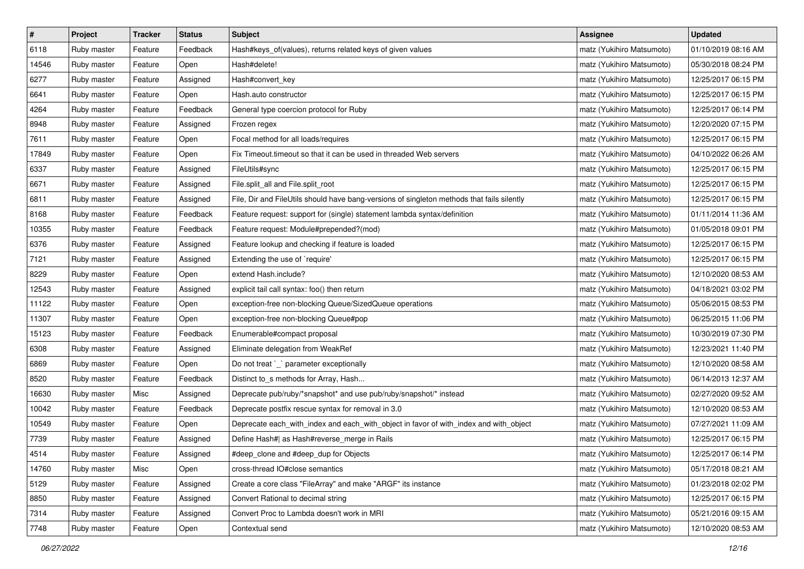| $\pmb{\#}$ | Project     | <b>Tracker</b> | <b>Status</b> | Subject                                                                                    | <b>Assignee</b>           | <b>Updated</b>      |
|------------|-------------|----------------|---------------|--------------------------------------------------------------------------------------------|---------------------------|---------------------|
| 6118       | Ruby master | Feature        | Feedback      | Hash#keys_of(values), returns related keys of given values                                 | matz (Yukihiro Matsumoto) | 01/10/2019 08:16 AM |
| 14546      | Ruby master | Feature        | Open          | Hash#delete!                                                                               | matz (Yukihiro Matsumoto) | 05/30/2018 08:24 PM |
| 6277       | Ruby master | Feature        | Assigned      | Hash#convert_key                                                                           | matz (Yukihiro Matsumoto) | 12/25/2017 06:15 PM |
| 6641       | Ruby master | Feature        | Open          | Hash.auto constructor                                                                      | matz (Yukihiro Matsumoto) | 12/25/2017 06:15 PM |
| 4264       | Ruby master | Feature        | Feedback      | General type coercion protocol for Ruby                                                    | matz (Yukihiro Matsumoto) | 12/25/2017 06:14 PM |
| 8948       | Ruby master | Feature        | Assigned      | Frozen regex                                                                               | matz (Yukihiro Matsumoto) | 12/20/2020 07:15 PM |
| 7611       | Ruby master | Feature        | Open          | Focal method for all loads/requires                                                        | matz (Yukihiro Matsumoto) | 12/25/2017 06:15 PM |
| 17849      | Ruby master | Feature        | Open          | Fix Timeout timeout so that it can be used in threaded Web servers                         | matz (Yukihiro Matsumoto) | 04/10/2022 06:26 AM |
| 6337       | Ruby master | Feature        | Assigned      | FileUtils#sync                                                                             | matz (Yukihiro Matsumoto) | 12/25/2017 06:15 PM |
| 6671       | Ruby master | Feature        | Assigned      | File.split_all and File.split_root                                                         | matz (Yukihiro Matsumoto) | 12/25/2017 06:15 PM |
| 6811       | Ruby master | Feature        | Assigned      | File, Dir and FileUtils should have bang-versions of singleton methods that fails silently | matz (Yukihiro Matsumoto) | 12/25/2017 06:15 PM |
| 8168       | Ruby master | Feature        | Feedback      | Feature request: support for (single) statement lambda syntax/definition                   | matz (Yukihiro Matsumoto) | 01/11/2014 11:36 AM |
| 10355      | Ruby master | Feature        | Feedback      | Feature request: Module#prepended?(mod)                                                    | matz (Yukihiro Matsumoto) | 01/05/2018 09:01 PM |
| 6376       | Ruby master | Feature        | Assigned      | Feature lookup and checking if feature is loaded                                           | matz (Yukihiro Matsumoto) | 12/25/2017 06:15 PM |
| 7121       | Ruby master | Feature        | Assigned      | Extending the use of `require'                                                             | matz (Yukihiro Matsumoto) | 12/25/2017 06:15 PM |
| 8229       | Ruby master | Feature        | Open          | extend Hash.include?                                                                       | matz (Yukihiro Matsumoto) | 12/10/2020 08:53 AM |
| 12543      | Ruby master | Feature        | Assigned      | explicit tail call syntax: foo() then return                                               | matz (Yukihiro Matsumoto) | 04/18/2021 03:02 PM |
| 11122      | Ruby master | Feature        | Open          | exception-free non-blocking Queue/SizedQueue operations                                    | matz (Yukihiro Matsumoto) | 05/06/2015 08:53 PM |
| 11307      | Ruby master | Feature        | Open          | exception-free non-blocking Queue#pop                                                      | matz (Yukihiro Matsumoto) | 06/25/2015 11:06 PM |
| 15123      | Ruby master | Feature        | Feedback      | Enumerable#compact proposal                                                                | matz (Yukihiro Matsumoto) | 10/30/2019 07:30 PM |
| 6308       | Ruby master | Feature        | Assigned      | Eliminate delegation from WeakRef                                                          | matz (Yukihiro Matsumoto) | 12/23/2021 11:40 PM |
| 6869       | Ruby master | Feature        | Open          | Do not treat `_` parameter exceptionally                                                   | matz (Yukihiro Matsumoto) | 12/10/2020 08:58 AM |
| 8520       | Ruby master | Feature        | Feedback      | Distinct to_s methods for Array, Hash                                                      | matz (Yukihiro Matsumoto) | 06/14/2013 12:37 AM |
| 16630      | Ruby master | Misc           | Assigned      | Deprecate pub/ruby/*snapshot* and use pub/ruby/snapshot/* instead                          | matz (Yukihiro Matsumoto) | 02/27/2020 09:52 AM |
| 10042      | Ruby master | Feature        | Feedback      | Deprecate postfix rescue syntax for removal in 3.0                                         | matz (Yukihiro Matsumoto) | 12/10/2020 08:53 AM |
| 10549      | Ruby master | Feature        | Open          | Deprecate each_with_index and each_with_object in favor of with_index and with_object      | matz (Yukihiro Matsumoto) | 07/27/2021 11:09 AM |
| 7739       | Ruby master | Feature        | Assigned      | Define Hash#  as Hash#reverse_merge in Rails                                               | matz (Yukihiro Matsumoto) | 12/25/2017 06:15 PM |
| 4514       | Ruby master | Feature        | Assigned      | #deep_clone and #deep_dup for Objects                                                      | matz (Yukihiro Matsumoto) | 12/25/2017 06:14 PM |
| 14760      | Ruby master | Misc           | Open          | cross-thread IO#close semantics                                                            | matz (Yukihiro Matsumoto) | 05/17/2018 08:21 AM |
| 5129       | Ruby master | Feature        | Assigned      | Create a core class "FileArray" and make "ARGF" its instance                               | matz (Yukihiro Matsumoto) | 01/23/2018 02:02 PM |
| 8850       | Ruby master | Feature        | Assigned      | Convert Rational to decimal string                                                         | matz (Yukihiro Matsumoto) | 12/25/2017 06:15 PM |
| 7314       | Ruby master | Feature        | Assigned      | Convert Proc to Lambda doesn't work in MRI                                                 | matz (Yukihiro Matsumoto) | 05/21/2016 09:15 AM |
| 7748       | Ruby master | Feature        | Open          | Contextual send                                                                            | matz (Yukihiro Matsumoto) | 12/10/2020 08:53 AM |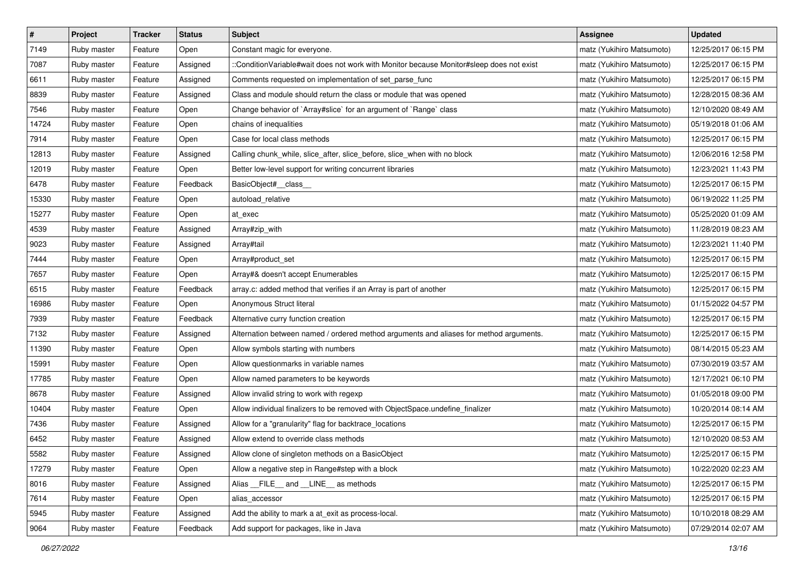| $\pmb{\#}$ | Project     | <b>Tracker</b> | <b>Status</b> | Subject                                                                                  | <b>Assignee</b>           | <b>Updated</b>      |
|------------|-------------|----------------|---------------|------------------------------------------------------------------------------------------|---------------------------|---------------------|
| 7149       | Ruby master | Feature        | Open          | Constant magic for everyone.                                                             | matz (Yukihiro Matsumoto) | 12/25/2017 06:15 PM |
| 7087       | Ruby master | Feature        | Assigned      | ::ConditionVariable#wait does not work with Monitor because Monitor#sleep does not exist | matz (Yukihiro Matsumoto) | 12/25/2017 06:15 PM |
| 6611       | Ruby master | Feature        | Assigned      | Comments requested on implementation of set_parse_func                                   | matz (Yukihiro Matsumoto) | 12/25/2017 06:15 PM |
| 8839       | Ruby master | Feature        | Assigned      | Class and module should return the class or module that was opened                       | matz (Yukihiro Matsumoto) | 12/28/2015 08:36 AM |
| 7546       | Ruby master | Feature        | Open          | Change behavior of `Array#slice` for an argument of `Range` class                        | matz (Yukihiro Matsumoto) | 12/10/2020 08:49 AM |
| 14724      | Ruby master | Feature        | Open          | chains of inequalities                                                                   | matz (Yukihiro Matsumoto) | 05/19/2018 01:06 AM |
| 7914       | Ruby master | Feature        | Open          | Case for local class methods                                                             | matz (Yukihiro Matsumoto) | 12/25/2017 06:15 PM |
| 12813      | Ruby master | Feature        | Assigned      | Calling chunk_while, slice_after, slice_before, slice_when with no block                 | matz (Yukihiro Matsumoto) | 12/06/2016 12:58 PM |
| 12019      | Ruby master | Feature        | Open          | Better low-level support for writing concurrent libraries                                | matz (Yukihiro Matsumoto) | 12/23/2021 11:43 PM |
| 6478       | Ruby master | Feature        | Feedback      | BasicObject#_class_                                                                      | matz (Yukihiro Matsumoto) | 12/25/2017 06:15 PM |
| 15330      | Ruby master | Feature        | Open          | autoload_relative                                                                        | matz (Yukihiro Matsumoto) | 06/19/2022 11:25 PM |
| 15277      | Ruby master | Feature        | Open          | at_exec                                                                                  | matz (Yukihiro Matsumoto) | 05/25/2020 01:09 AM |
| 4539       | Ruby master | Feature        | Assigned      | Array#zip_with                                                                           | matz (Yukihiro Matsumoto) | 11/28/2019 08:23 AM |
| 9023       | Ruby master | Feature        | Assigned      | Array#tail                                                                               | matz (Yukihiro Matsumoto) | 12/23/2021 11:40 PM |
| 7444       | Ruby master | Feature        | Open          | Array#product_set                                                                        | matz (Yukihiro Matsumoto) | 12/25/2017 06:15 PM |
| 7657       | Ruby master | Feature        | Open          | Array#& doesn't accept Enumerables                                                       | matz (Yukihiro Matsumoto) | 12/25/2017 06:15 PM |
| 6515       | Ruby master | Feature        | Feedback      | array.c: added method that verifies if an Array is part of another                       | matz (Yukihiro Matsumoto) | 12/25/2017 06:15 PM |
| 16986      | Ruby master | Feature        | Open          | Anonymous Struct literal                                                                 | matz (Yukihiro Matsumoto) | 01/15/2022 04:57 PM |
| 7939       | Ruby master | Feature        | Feedback      | Alternative curry function creation                                                      | matz (Yukihiro Matsumoto) | 12/25/2017 06:15 PM |
| 7132       | Ruby master | Feature        | Assigned      | Alternation between named / ordered method arguments and aliases for method arguments.   | matz (Yukihiro Matsumoto) | 12/25/2017 06:15 PM |
| 11390      | Ruby master | Feature        | Open          | Allow symbols starting with numbers                                                      | matz (Yukihiro Matsumoto) | 08/14/2015 05:23 AM |
| 15991      | Ruby master | Feature        | Open          | Allow questionmarks in variable names                                                    | matz (Yukihiro Matsumoto) | 07/30/2019 03:57 AM |
| 17785      | Ruby master | Feature        | Open          | Allow named parameters to be keywords                                                    | matz (Yukihiro Matsumoto) | 12/17/2021 06:10 PM |
| 8678       | Ruby master | Feature        | Assigned      | Allow invalid string to work with regexp                                                 | matz (Yukihiro Matsumoto) | 01/05/2018 09:00 PM |
| 10404      | Ruby master | Feature        | Open          | Allow individual finalizers to be removed with ObjectSpace.undefine_finalizer            | matz (Yukihiro Matsumoto) | 10/20/2014 08:14 AM |
| 7436       | Ruby master | Feature        | Assigned      | Allow for a "granularity" flag for backtrace_locations                                   | matz (Yukihiro Matsumoto) | 12/25/2017 06:15 PM |
| 6452       | Ruby master | Feature        | Assigned      | Allow extend to override class methods                                                   | matz (Yukihiro Matsumoto) | 12/10/2020 08:53 AM |
| 5582       | Ruby master | Feature        | Assigned      | Allow clone of singleton methods on a BasicObject                                        | matz (Yukihiro Matsumoto) | 12/25/2017 06:15 PM |
| 17279      | Ruby master | Feature        | Open          | Allow a negative step in Range#step with a block                                         | matz (Yukihiro Matsumoto) | 10/22/2020 02:23 AM |
| 8016       | Ruby master | Feature        | Assigned      | Alias FILE and LINE as methods                                                           | matz (Yukihiro Matsumoto) | 12/25/2017 06:15 PM |
| 7614       | Ruby master | Feature        | Open          | alias_accessor                                                                           | matz (Yukihiro Matsumoto) | 12/25/2017 06:15 PM |
| 5945       | Ruby master | Feature        | Assigned      | Add the ability to mark a at_exit as process-local.                                      | matz (Yukihiro Matsumoto) | 10/10/2018 08:29 AM |
| 9064       | Ruby master | Feature        | Feedback      | Add support for packages, like in Java                                                   | matz (Yukihiro Matsumoto) | 07/29/2014 02:07 AM |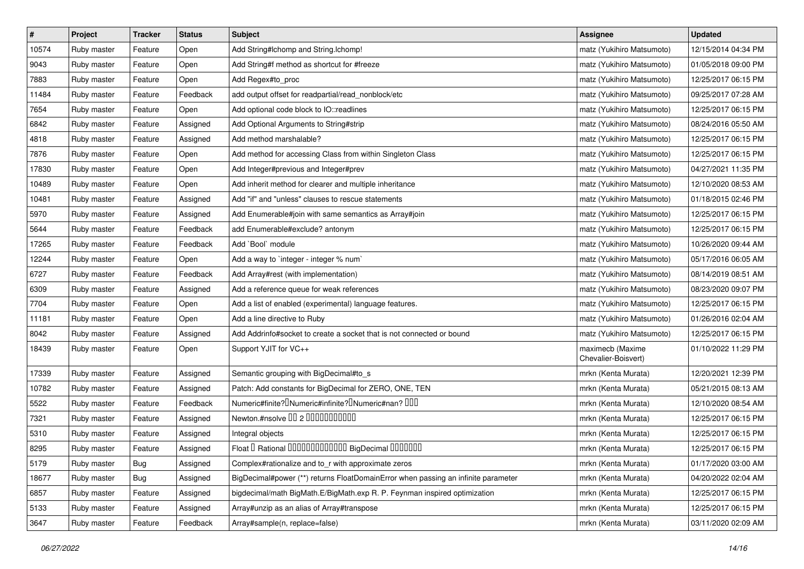| $\pmb{\#}$ | Project     | <b>Tracker</b> | <b>Status</b> | Subject                                                                                    | <b>Assignee</b>                         | <b>Updated</b>      |
|------------|-------------|----------------|---------------|--------------------------------------------------------------------------------------------|-----------------------------------------|---------------------|
| 10574      | Ruby master | Feature        | Open          | Add String#Ichomp and String.Ichomp!                                                       | matz (Yukihiro Matsumoto)               | 12/15/2014 04:34 PM |
| 9043       | Ruby master | Feature        | Open          | Add String#f method as shortcut for #freeze                                                | matz (Yukihiro Matsumoto)               | 01/05/2018 09:00 PM |
| 7883       | Ruby master | Feature        | Open          | Add Regex#to_proc                                                                          | matz (Yukihiro Matsumoto)               | 12/25/2017 06:15 PM |
| 11484      | Ruby master | Feature        | Feedback      | add output offset for readpartial/read_nonblock/etc                                        | matz (Yukihiro Matsumoto)               | 09/25/2017 07:28 AM |
| 7654       | Ruby master | Feature        | Open          | Add optional code block to IO::readlines                                                   | matz (Yukihiro Matsumoto)               | 12/25/2017 06:15 PM |
| 6842       | Ruby master | Feature        | Assigned      | Add Optional Arguments to String#strip                                                     | matz (Yukihiro Matsumoto)               | 08/24/2016 05:50 AM |
| 4818       | Ruby master | Feature        | Assigned      | Add method marshalable?                                                                    | matz (Yukihiro Matsumoto)               | 12/25/2017 06:15 PM |
| 7876       | Ruby master | Feature        | Open          | Add method for accessing Class from within Singleton Class                                 | matz (Yukihiro Matsumoto)               | 12/25/2017 06:15 PM |
| 17830      | Ruby master | Feature        | Open          | Add Integer#previous and Integer#prev                                                      | matz (Yukihiro Matsumoto)               | 04/27/2021 11:35 PM |
| 10489      | Ruby master | Feature        | Open          | Add inherit method for clearer and multiple inheritance                                    | matz (Yukihiro Matsumoto)               | 12/10/2020 08:53 AM |
| 10481      | Ruby master | Feature        | Assigned      | Add "if" and "unless" clauses to rescue statements                                         | matz (Yukihiro Matsumoto)               | 01/18/2015 02:46 PM |
| 5970       | Ruby master | Feature        | Assigned      | Add Enumerable#join with same semantics as Array#join                                      | matz (Yukihiro Matsumoto)               | 12/25/2017 06:15 PM |
| 5644       | Ruby master | Feature        | Feedback      | add Enumerable#exclude? antonym                                                            | matz (Yukihiro Matsumoto)               | 12/25/2017 06:15 PM |
| 17265      | Ruby master | Feature        | Feedback      | Add `Bool` module                                                                          | matz (Yukihiro Matsumoto)               | 10/26/2020 09:44 AM |
| 12244      | Ruby master | Feature        | Open          | Add a way to 'integer - integer % num'                                                     | matz (Yukihiro Matsumoto)               | 05/17/2016 06:05 AM |
| 6727       | Ruby master | Feature        | Feedback      | Add Array#rest (with implementation)                                                       | matz (Yukihiro Matsumoto)               | 08/14/2019 08:51 AM |
| 6309       | Ruby master | Feature        | Assigned      | Add a reference queue for weak references                                                  | matz (Yukihiro Matsumoto)               | 08/23/2020 09:07 PM |
| 7704       | Ruby master | Feature        | Open          | Add a list of enabled (experimental) language features.                                    | matz (Yukihiro Matsumoto)               | 12/25/2017 06:15 PM |
| 11181      | Ruby master | Feature        | Open          | Add a line directive to Ruby                                                               | matz (Yukihiro Matsumoto)               | 01/26/2016 02:04 AM |
| 8042       | Ruby master | Feature        | Assigned      | Add Addrinfo#socket to create a socket that is not connected or bound                      | matz (Yukihiro Matsumoto)               | 12/25/2017 06:15 PM |
| 18439      | Ruby master | Feature        | Open          | Support YJIT for VC++                                                                      | maximecb (Maxime<br>Chevalier-Boisvert) | 01/10/2022 11:29 PM |
| 17339      | Ruby master | Feature        | Assigned      | Semantic grouping with BigDecimal#to_s                                                     | mrkn (Kenta Murata)                     | 12/20/2021 12:39 PM |
| 10782      | Ruby master | Feature        | Assigned      | Patch: Add constants for BigDecimal for ZERO, ONE, TEN                                     | mrkn (Kenta Murata)                     | 05/21/2015 08:13 AM |
| 5522       | Ruby master | Feature        | Feedback      | Numeric#finite? <sup>[]</sup> Numeric#infinite? <sup>[]</sup> Numeric#nan? <sup>[10]</sup> | mrkn (Kenta Murata)                     | 12/10/2020 08:54 AM |
| 7321       | Ruby master | Feature        | Assigned      | Newton.#nsolve 00 2 0000000000                                                             | mrkn (Kenta Murata)                     | 12/25/2017 06:15 PM |
| 5310       | Ruby master | Feature        | Assigned      | Integral objects                                                                           | mrkn (Kenta Murata)                     | 12/25/2017 06:15 PM |
| 8295       | Ruby master | Feature        | Assigned      | Float I Rational 0000000000000 BigDecimal 0000000                                          | mrkn (Kenta Murata)                     | 12/25/2017 06:15 PM |
| 5179       | Ruby master | Bug            | Assigned      | Complex#rationalize and to_r with approximate zeros                                        | mrkn (Kenta Murata)                     | 01/17/2020 03:00 AM |
| 18677      | Ruby master | <b>Bug</b>     | Assigned      | BigDecimal#power (**) returns FloatDomainError when passing an infinite parameter          | mrkn (Kenta Murata)                     | 04/20/2022 02:04 AM |
| 6857       | Ruby master | Feature        | Assigned      | bigdecimal/math BigMath.E/BigMath.exp R. P. Feynman inspired optimization                  | mrkn (Kenta Murata)                     | 12/25/2017 06:15 PM |
| 5133       | Ruby master | Feature        | Assigned      | Array#unzip as an alias of Array#transpose                                                 | mrkn (Kenta Murata)                     | 12/25/2017 06:15 PM |
| 3647       | Ruby master | Feature        | Feedback      | Array#sample(n, replace=false)                                                             | mrkn (Kenta Murata)                     | 03/11/2020 02:09 AM |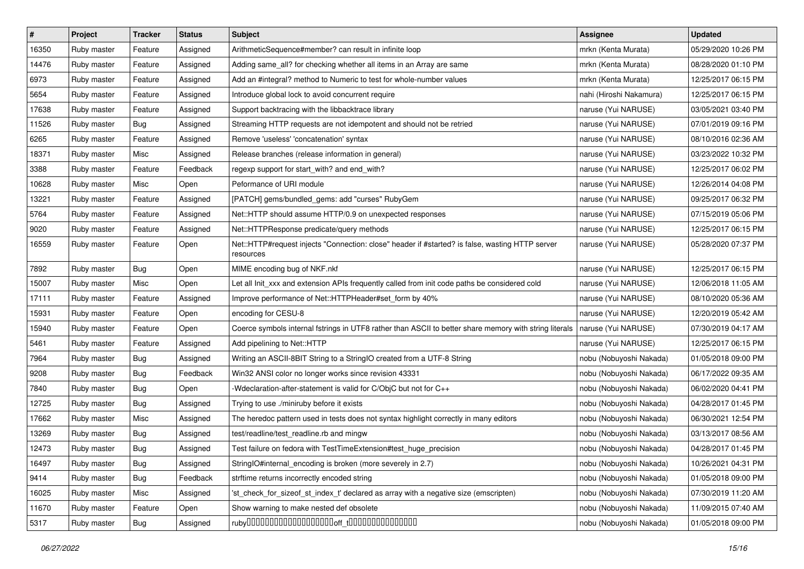| $\pmb{\#}$ | Project     | <b>Tracker</b> | <b>Status</b> | <b>Subject</b>                                                                                               | <b>Assignee</b>         | <b>Updated</b>      |
|------------|-------------|----------------|---------------|--------------------------------------------------------------------------------------------------------------|-------------------------|---------------------|
| 16350      | Ruby master | Feature        | Assigned      | ArithmeticSequence#member? can result in infinite loop                                                       | mrkn (Kenta Murata)     | 05/29/2020 10:26 PM |
| 14476      | Ruby master | Feature        | Assigned      | Adding same_all? for checking whether all items in an Array are same                                         | mrkn (Kenta Murata)     | 08/28/2020 01:10 PM |
| 6973       | Ruby master | Feature        | Assigned      | Add an #integral? method to Numeric to test for whole-number values                                          | mrkn (Kenta Murata)     | 12/25/2017 06:15 PM |
| 5654       | Ruby master | Feature        | Assigned      | Introduce global lock to avoid concurrent require                                                            | nahi (Hiroshi Nakamura) | 12/25/2017 06:15 PM |
| 17638      | Ruby master | Feature        | Assigned      | Support backtracing with the libbacktrace library                                                            | naruse (Yui NARUSE)     | 03/05/2021 03:40 PM |
| 11526      | Ruby master | Bug            | Assigned      | Streaming HTTP requests are not idempotent and should not be retried                                         | naruse (Yui NARUSE)     | 07/01/2019 09:16 PM |
| 6265       | Ruby master | Feature        | Assigned      | Remove 'useless' 'concatenation' syntax                                                                      | naruse (Yui NARUSE)     | 08/10/2016 02:36 AM |
| 18371      | Ruby master | Misc           | Assigned      | Release branches (release information in general)                                                            | naruse (Yui NARUSE)     | 03/23/2022 10:32 PM |
| 3388       | Ruby master | Feature        | Feedback      | regexp support for start_with? and end_with?                                                                 | naruse (Yui NARUSE)     | 12/25/2017 06:02 PM |
| 10628      | Ruby master | Misc           | Open          | Peformance of URI module                                                                                     | naruse (Yui NARUSE)     | 12/26/2014 04:08 PM |
| 13221      | Ruby master | Feature        | Assigned      | [PATCH] gems/bundled_gems: add "curses" RubyGem                                                              | naruse (Yui NARUSE)     | 09/25/2017 06:32 PM |
| 5764       | Ruby master | Feature        | Assigned      | Net::HTTP should assume HTTP/0.9 on unexpected responses                                                     | naruse (Yui NARUSE)     | 07/15/2019 05:06 PM |
| 9020       | Ruby master | Feature        | Assigned      | Net::HTTPResponse predicate/query methods                                                                    | naruse (Yui NARUSE)     | 12/25/2017 06:15 PM |
| 16559      | Ruby master | Feature        | Open          | Net::HTTP#request injects "Connection: close" header if #started? is false, wasting HTTP server<br>resources | naruse (Yui NARUSE)     | 05/28/2020 07:37 PM |
| 7892       | Ruby master | <b>Bug</b>     | Open          | MIME encoding bug of NKF.nkf                                                                                 | naruse (Yui NARUSE)     | 12/25/2017 06:15 PM |
| 15007      | Ruby master | Misc           | Open          | Let all Init_xxx and extension APIs frequently called from init code paths be considered cold                | naruse (Yui NARUSE)     | 12/06/2018 11:05 AM |
| 17111      | Ruby master | Feature        | Assigned      | Improve performance of Net::HTTPHeader#set_form by 40%                                                       | naruse (Yui NARUSE)     | 08/10/2020 05:36 AM |
| 15931      | Ruby master | Feature        | Open          | encoding for CESU-8                                                                                          | naruse (Yui NARUSE)     | 12/20/2019 05:42 AM |
| 15940      | Ruby master | Feature        | Open          | Coerce symbols internal fstrings in UTF8 rather than ASCII to better share memory with string literals       | naruse (Yui NARUSE)     | 07/30/2019 04:17 AM |
| 5461       | Ruby master | Feature        | Assigned      | Add pipelining to Net::HTTP                                                                                  | naruse (Yui NARUSE)     | 12/25/2017 06:15 PM |
| 7964       | Ruby master | Bug            | Assigned      | Writing an ASCII-8BIT String to a StringIO created from a UTF-8 String                                       | nobu (Nobuyoshi Nakada) | 01/05/2018 09:00 PM |
| 9208       | Ruby master | Bug            | Feedback      | Win32 ANSI color no longer works since revision 43331                                                        | nobu (Nobuyoshi Nakada) | 06/17/2022 09:35 AM |
| 7840       | Ruby master | <b>Bug</b>     | Open          | -Wdeclaration-after-statement is valid for C/ObjC but not for C++                                            | nobu (Nobuyoshi Nakada) | 06/02/2020 04:41 PM |
| 12725      | Ruby master | <b>Bug</b>     | Assigned      | Trying to use ./miniruby before it exists                                                                    | nobu (Nobuyoshi Nakada) | 04/28/2017 01:45 PM |
| 17662      | Ruby master | Misc           | Assigned      | The heredoc pattern used in tests does not syntax highlight correctly in many editors                        | nobu (Nobuyoshi Nakada) | 06/30/2021 12:54 PM |
| 13269      | Ruby master | Bug            | Assigned      | test/readline/test readline.rb and mingw                                                                     | nobu (Nobuyoshi Nakada) | 03/13/2017 08:56 AM |
| 12473      | Ruby master | <b>Bug</b>     | Assigned      | Test failure on fedora with TestTimeExtension#test_huge_precision                                            | nobu (Nobuyoshi Nakada) | 04/28/2017 01:45 PM |
| 16497      | Ruby master | <b>Bug</b>     | Assigned      | StringIO#internal_encoding is broken (more severely in 2.7)                                                  | nobu (Nobuyoshi Nakada) | 10/26/2021 04:31 PM |
| 9414       | Ruby master | <b>Bug</b>     | Feedback      | strftime returns incorrectly encoded string                                                                  | nobu (Nobuyoshi Nakada) | 01/05/2018 09:00 PM |
| 16025      | Ruby master | Misc           | Assigned      | 'st_check_for_sizeof_st_index_t' declared as array with a negative size (emscripten)                         | nobu (Nobuyoshi Nakada) | 07/30/2019 11:20 AM |
| 11670      | Ruby master | Feature        | Open          | Show warning to make nested def obsolete                                                                     | nobu (Nobuyoshi Nakada) | 11/09/2015 07:40 AM |
| 5317       | Ruby master | Bug            | Assigned      |                                                                                                              | nobu (Nobuyoshi Nakada) | 01/05/2018 09:00 PM |